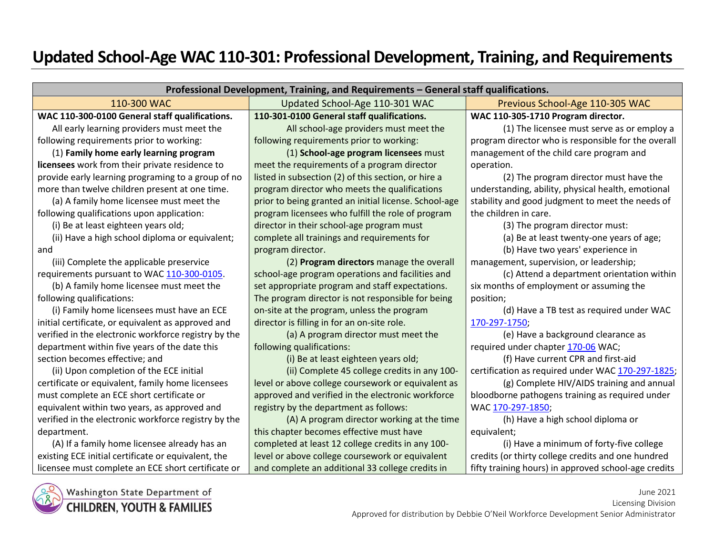# **Updated School-Age WAC 110-301: Professional Development, Training, and Requirements**

| Professional Development, Training, and Requirements - General staff qualifications. |                                                       |                                                                                                             |  |  |
|--------------------------------------------------------------------------------------|-------------------------------------------------------|-------------------------------------------------------------------------------------------------------------|--|--|
| 110-300 WAC                                                                          | Updated School-Age 110-301 WAC                        | Previous School-Age 110-305 WAC                                                                             |  |  |
| WAC 110-300-0100 General staff qualifications.                                       | 110-301-0100 General staff qualifications.            | WAC 110-305-1710 Program director.                                                                          |  |  |
| All early learning providers must meet the                                           | All school-age providers must meet the                | (1) The licensee must serve as or employ a                                                                  |  |  |
| following requirements prior to working:                                             | following requirements prior to working:              | program director who is responsible for the overall                                                         |  |  |
| (1) Family home early learning program                                               | (1) School-age program licensees must                 | management of the child care program and                                                                    |  |  |
| licensees work from their private residence to                                       | meet the requirements of a program director           | operation.                                                                                                  |  |  |
| provide early learning programing to a group of no                                   | listed in subsection (2) of this section, or hire a   | (2) The program director must have the                                                                      |  |  |
| more than twelve children present at one time.                                       | program director who meets the qualifications         | understanding, ability, physical health, emotional                                                          |  |  |
| (a) A family home licensee must meet the                                             | prior to being granted an initial license. School-age | stability and good judgment to meet the needs of                                                            |  |  |
| following qualifications upon application:                                           | program licensees who fulfill the role of program     | the children in care.                                                                                       |  |  |
| (i) Be at least eighteen years old;                                                  | director in their school-age program must             | (3) The program director must:                                                                              |  |  |
| (ii) Have a high school diploma or equivalent;                                       | complete all trainings and requirements for           | (a) Be at least twenty-one years of age;                                                                    |  |  |
| and                                                                                  | program director.                                     | (b) Have two years' experience in                                                                           |  |  |
| (iii) Complete the applicable preservice                                             | (2) Program directors manage the overall              | management, supervision, or leadership;                                                                     |  |  |
| requirements pursuant to WAC 110-300-0105.                                           | school-age program operations and facilities and      | (c) Attend a department orientation within                                                                  |  |  |
| (b) A family home licensee must meet the                                             | set appropriate program and staff expectations.       | six months of employment or assuming the                                                                    |  |  |
| following qualifications:                                                            | The program director is not responsible for being     | position;                                                                                                   |  |  |
| (i) Family home licensees must have an ECE                                           | on-site at the program, unless the program            | (d) Have a TB test as required under WAC                                                                    |  |  |
| initial certificate, or equivalent as approved and                                   | director is filling in for an on-site role.           | 170-297-1750;                                                                                               |  |  |
| verified in the electronic workforce registry by the                                 | (a) A program director must meet the                  | (e) Have a background clearance as                                                                          |  |  |
| department within five years of the date this                                        | following qualifications:                             | required under chapter 170-06 WAC;                                                                          |  |  |
| section becomes effective; and                                                       | (i) Be at least eighteen years old;                   | (f) Have current CPR and first-aid                                                                          |  |  |
| (ii) Upon completion of the ECE initial                                              | (ii) Complete 45 college credits in any 100-          | certification as required under WAC 170-297-1825;                                                           |  |  |
| certificate or equivalent, family home licensees                                     | level or above college coursework or equivalent as    | (g) Complete HIV/AIDS training and annual                                                                   |  |  |
| must complete an ECE short certificate or                                            | approved and verified in the electronic workforce     | bloodborne pathogens training as required under                                                             |  |  |
| equivalent within two years, as approved and                                         | registry by the department as follows:                | WAC 170-297-1850;                                                                                           |  |  |
| verified in the electronic workforce registry by the                                 | (A) A program director working at the time            | (h) Have a high school diploma or                                                                           |  |  |
| department.                                                                          | this chapter becomes effective must have              | equivalent;                                                                                                 |  |  |
| (A) If a family home licensee already has an                                         | completed at least 12 college credits in any 100-     | (i) Have a minimum of forty-five college                                                                    |  |  |
| existing ECE initial certificate or equivalent, the                                  | level or above college coursework or equivalent       | credits (or thirty college credits and one hundred                                                          |  |  |
| licensee must complete an ECE short certificate or                                   | and complete an additional 33 college credits in      | fifty training hours) in approved school-age credits                                                        |  |  |
|                                                                                      |                                                       |                                                                                                             |  |  |
| Washington State Department of                                                       |                                                       | June 2021                                                                                                   |  |  |
| <b>CHILDREN, YOUTH &amp; FAMILIES</b>                                                |                                                       | Licensing Division<br>Approved for distribution by Dobbio O'Moil Warkforce Douglopment Copier Administrator |  |  |

Approved for distribution by Debbie O'Neil Workforce Development Senior Administrator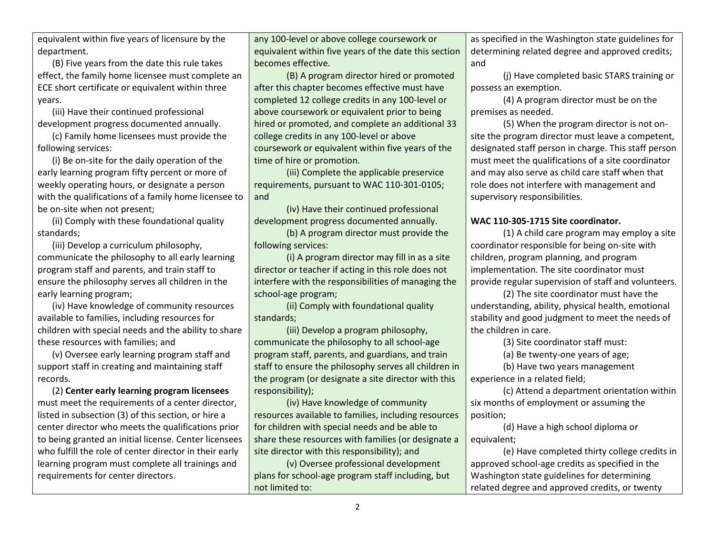equivalent within five years of licensure by the department.

(B) Five years from the date this rule takes effect, the family home licensee must complete an ECE short certificate or equivalent within three years.

(iii) Have their continued professional development progress documented annually.

(c) Family home licensees must provide the following services:

(i) Be on-site for the daily operation of the early learning program fifty percent or more of weekly operating hours, or designate a person with the qualifications of a family home licensee to be on-site when not present;

(ii) Comply with these foundational quality standards;

(iii) Develop a curriculum philosophy, communicate the philosophy to all early learning program staff and parents, and train staff to ensure the philosophy serves all children in the early learning program;

(iv) Have knowledge of community resources available to families, including resources for children with special needs and the ability to share these resources with families; and

(v) Oversee early learning program staff and support staff in creating and maintaining staff records.

(2) **Center early learning program licensees** must meet the requirements of a center director, listed in subsection (3) of this section, or hire a center director who meets the qualifications prior to being granted an initial license. Center licensees who fulfill the role of center director in their early learning program must complete all trainings and requirements for center directors.

any 100-level or above college coursework or equivalent within five years of the date this section becomes effective.

(B) A program director hired or promoted after this chapter becomes effective must have completed 12 college credits in any 100-level or above coursework or equivalent prior to being hired or promoted, and complete an additional 33 college credits in any 100-level or above coursework or equivalent within five years of the time of hire or promotion.

(iii) Complete the applicable preservice requirements, pursuant to WAC 110-301-0105; and

(iv) Have their continued professional development progress documented annually.

(b) A program director must provide the following services:

(i) A program director may fill in as a site director or teacher if acting in this role does not interfere with the responsibilities of managing the school-age program;

(ii) Comply with foundational quality standards;

(iii) Develop a program philosophy, communicate the philosophy to all school-age program staff, parents, and guardians, and train staff to ensure the philosophy serves all children in the program (or designate a site director with this responsibility);

(iv) Have knowledge of community resources available to families, including resources for children with special needs and be able to share these resources with families (or designate a site director with this responsibility); and

(v) Oversee professional development plans for school-age program staff including, but not limited to:

as specified in the Washington state guidelines for determining related degree and approved credits; and

(j) Have completed basic STARS training or possess an exemption.

(4) A program director must be on the premises as needed.

(5) When the program director is not onsite the program director must leave a competent, designated staff person in charge. This staff person must meet the qualifications of a site coordinator and may also serve as child care staff when that role does not interfere with management and supervisory responsibilities.

# **WAC 110-305-1715 Site coordinator.**

(1) A child care program may employ a site coordinator responsible for being on-site with children, program planning, and program implementation. The site coordinator must provide regular supervision of staff and volunteers.

(2) The site coordinator must have the understanding, ability, physical health, emotional stability and good judgment to meet the needs of the children in care.

(3) Site coordinator staff must:

(a) Be twenty-one years of age;

(b) Have two years management

experience in a related field;

(c) Attend a department orientation within six months of employment or assuming the position;

(d) Have a high school diploma or equivalent;

(e) Have completed thirty college credits in approved school-age credits as specified in the Washington state guidelines for determining related degree and approved credits, or twenty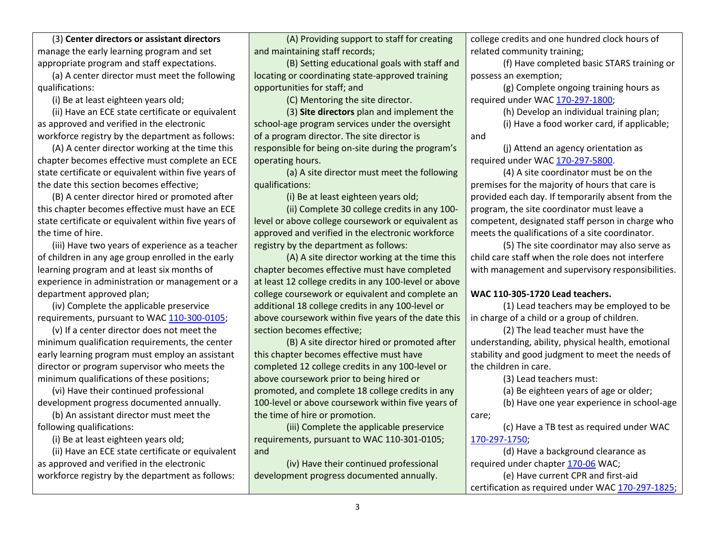(3) **Center directors or assistant directors** manage the early learning program and set appropriate program and staff expectations.

(a) A center director must meet the following qualifications:

(i) Be at least eighteen years old;

(ii) Have an ECE state certificate or equivalent as approved and verified in the electronic workforce registry by the department as follows:

(A) A center director working at the time this chapter becomes effective must complete an ECE state certificate or equivalent within five years of the date this section becomes effective;

(B) A center director hired or promoted after this chapter becomes effective must have an ECE state certificate or equivalent within five years of the time of hire.

(iii) Have two years of experience as a teacher of children in any age group enrolled in the early learning program and at least six months of experience in administration or management or a department approved plan;

(iv) Complete the applicable preservice requirements, pursuant to WAC [110-300-0105;](https://apps.leg.wa.gov/wac/default.aspx?cite=110-300-0105)

(v) If a center director does not meet the minimum qualification requirements, the center early learning program must employ an assistant director or program supervisor who meets the minimum qualifications of these positions;

(vi) Have their continued professional development progress documented annually.

(b) An assistant director must meet the following qualifications:

(i) Be at least eighteen years old;

(ii) Have an ECE state certificate or equivalent as approved and verified in the electronic workforce registry by the department as follows:

(A) Providing support to staff for creating and maintaining staff records;

(B) Setting educational goals with staff and locating or coordinating state-approved training opportunities for staff; and

(C) Mentoring the site director.

(3) **Site directors** plan and implement the school-age program services under the oversight of a program director. The site director is responsible for being on-site during the program's operating hours.

(a) A site director must meet the following qualifications:

(i) Be at least eighteen years old;

(ii) Complete 30 college credits in any 100 level or above college coursework or equivalent as approved and verified in the electronic workforce registry by the department as follows:

(A) A site director working at the time this chapter becomes effective must have completed at least 12 college credits in any 100-level or above college coursework or equivalent and complete an additional 18 college credits in any 100-level or above coursework within five years of the date this section becomes effective;

(B) A site director hired or promoted after this chapter becomes effective must have completed 12 college credits in any 100-level or above coursework prior to being hired or promoted, and complete 18 college credits in any 100-level or above coursework within five years of the time of hire or promotion.

(iii) Complete the applicable preservice requirements, pursuant to WAC 110-301-0105; and

(iv) Have their continued professional development progress documented annually.

college credits and one hundred clock hours of related community training;

(f) Have completed basic STARS training or possess an exemption;

(g) Complete ongoing training hours as required under WAC [170-297-1800;](https://app.leg.wa.gov/wac/default.aspx?cite=170-297-1800)

(h) Develop an individual training plan;

(i) Have a food worker card, if applicable;

(j) Attend an agency orientation as required under WAC [170-297-5800.](https://app.leg.wa.gov/wac/default.aspx?cite=170-297-5800)

and

(4) A site coordinator must be on the premises for the majority of hours that care is provided each day. If temporarily absent from the program, the site coordinator must leave a competent, designated staff person in charge who meets the qualifications of a site coordinator.

(5) The site coordinator may also serve as child care staff when the role does not interfere with management and supervisory responsibilities.

# **WAC 110-305-1720 Lead teachers.**

(1) Lead teachers may be employed to be in charge of a child or a group of children.

(2) The lead teacher must have the understanding, ability, physical health, emotional stability and good judgment to meet the needs of the children in care.

(3) Lead teachers must:

(a) Be eighteen years of age or older;

(b) Have one year experience in school-age care;

(c) Have a TB test as required under WAC [170-297-1750;](https://app.leg.wa.gov/wac/default.aspx?cite=170-297-1750)

(d) Have a background clearance as required under chapter [170-06](https://app.leg.wa.gov/wac/default.aspx?cite=170-06) WAC; (e) Have current CPR and first-aid certification as required under WAC [170-297-1825;](https://app.leg.wa.gov/wac/default.aspx?cite=170-297-1825)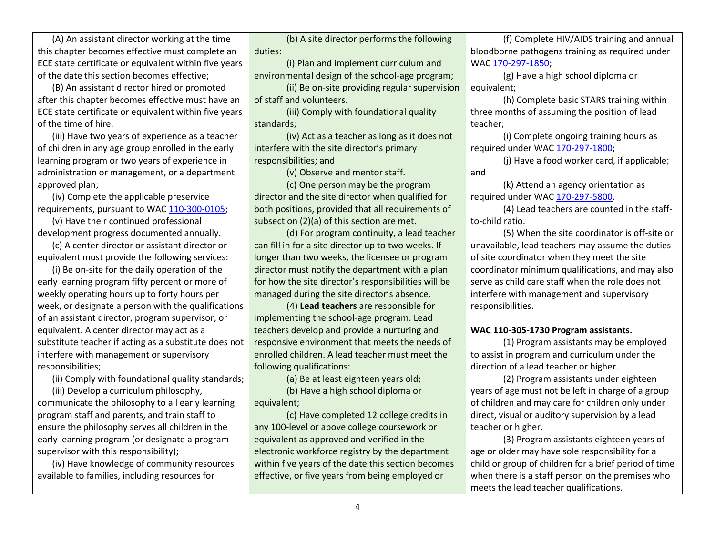(A) An assistant director working at the time this chapter becomes effective must complete an ECE state certificate or equivalent within five years of the date this section becomes effective;

(B) An assistant director hired or promoted after this chapter becomes effective must have an ECE state certificate or equivalent within five years of the time of hire.

(iii) Have two years of experience as a teacher of children in any age group enrolled in the early learning program or two years of experience in administration or management, or a department approved plan;

(iv) Complete the applicable preservice requirements, pursuant to WAC [110-300-0105;](https://apps.leg.wa.gov/wac/default.aspx?cite=110-300-0105)

(v) Have their continued professional development progress documented annually.

(c) A center director or assistant director or equivalent must provide the following services:

(i) Be on-site for the daily operation of the early learning program fifty percent or more of weekly operating hours up to forty hours per week, or designate a person with the qualifications of an assistant director, program supervisor, or equivalent. A center director may act as a substitute teacher if acting as a substitute does not interfere with management or supervisory responsibilities;

(ii) Comply with foundational quality standards;

(iii) Develop a curriculum philosophy, communicate the philosophy to all early learning program staff and parents, and train staff to ensure the philosophy serves all children in the early learning program (or designate a program supervisor with this responsibility);

(iv) Have knowledge of community resources available to families, including resources for

(b) A site director performs the following duties:

(i) Plan and implement curriculum and environmental design of the school-age program;

(ii) Be on-site providing regular supervision of staff and volunteers.

(iii) Comply with foundational quality standards;

(iv) Act as a teacher as long as it does not interfere with the site director's primary responsibilities; and

(v) Observe and mentor staff.

(c) One person may be the program director and the site director when qualified for both positions, provided that all requirements of subsection (2)(a) of this section are met.

(d) For program continuity, a lead teacher can fill in for a site director up to two weeks. If longer than two weeks, the licensee or program director must notify the department with a plan for how the site director's responsibilities will be managed during the site director's absence.

(4) **Lead teachers** are responsible for implementing the school-age program. Lead teachers develop and provide a nurturing and responsive environment that meets the needs of enrolled children. A lead teacher must meet the following qualifications:

(a) Be at least eighteen years old;

(b) Have a high school diploma or equivalent;

(c) Have completed 12 college credits in any 100-level or above college coursework or equivalent as approved and verified in the electronic workforce registry by the department within five years of the date this section becomes effective, or five years from being employed or

(f) Complete HIV/AIDS training and annual bloodborne pathogens training as required under WAC [170-297-1850;](https://app.leg.wa.gov/wac/default.aspx?cite=170-297-1850)

(g) Have a high school diploma or equivalent;

(h) Complete basic STARS training within three months of assuming the position of lead teacher;

(i) Complete ongoing training hours as required under WAC [170-297-1800;](https://app.leg.wa.gov/wac/default.aspx?cite=170-297-1800)

(j) Have a food worker card, if applicable; and

(k) Attend an agency orientation as required under WAC [170-297-5800.](https://app.leg.wa.gov/wac/default.aspx?cite=170-297-5800)

(4) Lead teachers are counted in the staffto-child ratio.

(5) When the site coordinator is off-site or unavailable, lead teachers may assume the duties of site coordinator when they meet the site coordinator minimum qualifications, and may also serve as child care staff when the role does not interfere with management and supervisory responsibilities.

#### **WAC 110-305-1730 Program assistants.**

(1) Program assistants may be employed to assist in program and curriculum under the direction of a lead teacher or higher.

(2) Program assistants under eighteen years of age must not be left in charge of a group of children and may care for children only under direct, visual or auditory supervision by a lead teacher or higher.

(3) Program assistants eighteen years of age or older may have sole responsibility for a child or group of children for a brief period of time when there is a staff person on the premises who meets the lead teacher qualifications.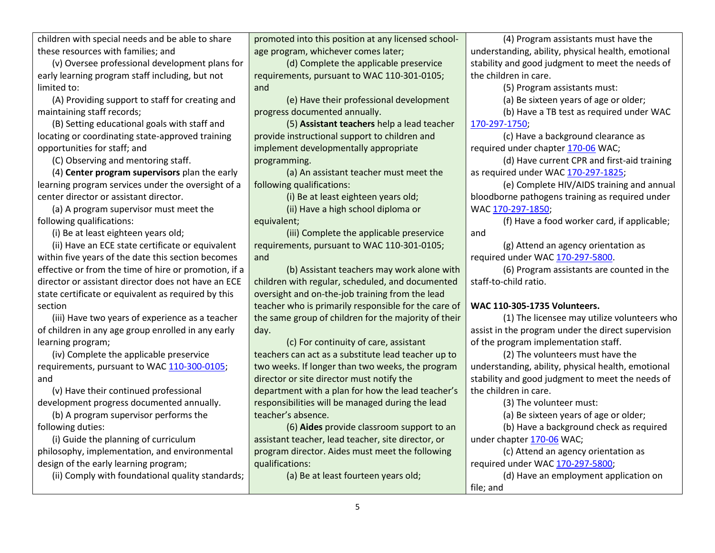children with special needs and be able to share these resources with families; and

(v) Oversee professional development plans for early learning program staff including, but not limited to:

(A) Providing support to staff for creating and maintaining staff records;

(B) Setting educational goals with staff and locating or coordinating state-approved training opportunities for staff; and

(C) Observing and mentoring staff.

(4) **Center program supervisors** plan the early learning program services under the oversight of a center director or assistant director.

(a) A program supervisor must meet the following qualifications:

(i) Be at least eighteen years old;

(ii) Have an ECE state certificate or equivalent within five years of the date this section becomes effective or from the time of hire or promotion, if a director or assistant director does not have an ECE state certificate or equivalent as required by this section

(iii) Have two years of experience as a teacher of children in any age group enrolled in any early learning program;

(iv) Complete the applicable preservice requirements, pursuant to WAC [110-300-0105;](https://apps.leg.wa.gov/wac/default.aspx?cite=110-300-0105) and

(v) Have their continued professional development progress documented annually.

(b) A program supervisor performs the following duties:

(i) Guide the planning of curriculum philosophy, implementation, and environmental design of the early learning program;

(ii) Comply with foundational quality standards;

promoted into this position at any licensed schoolage program, whichever comes later;

(d) Complete the applicable preservice requirements, pursuant to WAC 110-301-0105; and

(e) Have their professional development progress documented annually.

(5) **Assistant teachers** help a lead teacher provide instructional support to children and implement developmentally appropriate programming.

(a) An assistant teacher must meet the following qualifications:

(i) Be at least eighteen years old;

(ii) Have a high school diploma or equivalent;

(iii) Complete the applicable preservice requirements, pursuant to WAC 110-301-0105; and

(b) Assistant teachers may work alone with children with regular, scheduled, and documented oversight and on-the-job training from the lead teacher who is primarily responsible for the care of the same group of children for the majority of their day.

(c) For continuity of care, assistant teachers can act as a substitute lead teacher up to two weeks. If longer than two weeks, the program director or site director must notify the department with a plan for how the lead teacher's responsibilities will be managed during the lead teacher's absence.

(6) **Aides** provide classroom support to an assistant teacher, lead teacher, site director, or program director. Aides must meet the following qualifications:

(a) Be at least fourteen years old;

(4) Program assistants must have the understanding, ability, physical health, emotional stability and good judgment to meet the needs of the children in care.

(5) Program assistants must:

(a) Be sixteen years of age or older;

(b) Have a TB test as required under WAC [170-297-1750;](https://app.leg.wa.gov/wac/default.aspx?cite=170-297-1750)

(c) Have a background clearance as required under chapter [170-06](https://app.leg.wa.gov/wac/default.aspx?cite=170-06) WAC;

(d) Have current CPR and first-aid training as required under WAC [170-297-1825;](https://app.leg.wa.gov/wac/default.aspx?cite=170-297-1825)

(e) Complete HIV/AIDS training and annual bloodborne pathogens training as required under WAC [170-297-1850;](https://app.leg.wa.gov/wac/default.aspx?cite=170-297-1850)

(f) Have a food worker card, if applicable; and

(g) Attend an agency orientation as required under WAC [170-297-5800.](https://app.leg.wa.gov/wac/default.aspx?cite=170-297-5800)

(6) Program assistants are counted in the staff-to-child ratio.

# **WAC 110-305-1735 Volunteers.**

(1) The licensee may utilize volunteers who assist in the program under the direct supervision of the program implementation staff.

(2) The volunteers must have the understanding, ability, physical health, emotional stability and good judgment to meet the needs of the children in care.

(3) The volunteer must:

(a) Be sixteen years of age or older;

(b) Have a background check as required under chapte[r 170-06](https://app.leg.wa.gov/wac/default.aspx?cite=170-06) WAC;

(c) Attend an agency orientation as required under WAC [170-297-5800;](https://app.leg.wa.gov/wac/default.aspx?cite=170-297-5800)

(d) Have an employment application on file; and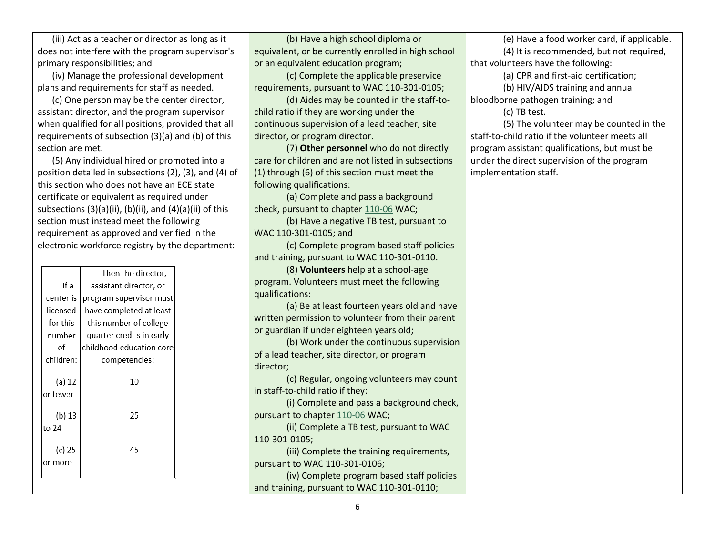(iii) Act as a teacher or director as long as it does not interfere with the program supervisor's primary responsibilities; and

(iv) Manage the professional development plans and requirements for staff as needed.

(c) One person may be the center director, assistant director, and the program supervisor when qualified for all positions, provided that all requirements of subsection (3)(a) and (b) of this section are met.

(5) Any individual hired or promoted into a position detailed in subsections (2), (3), and (4) of this section who does not have an ECE state certificate or equivalent as required under subsections (3)(a)(ii), (b)(ii), and (4)(a)(ii) of this section must instead meet the following requirement as approved and verified in the electronic workforce registry by the department:

|           | Then the director,       |  |  |
|-----------|--------------------------|--|--|
| If a      | assistant director, or   |  |  |
| center is | program supervisor must  |  |  |
| licensed  | have completed at least  |  |  |
| for this  | this number of college   |  |  |
| number    | quarter credits in early |  |  |
| οf        | childhood education core |  |  |
| children: | competencies:            |  |  |
|           |                          |  |  |
| (a) 12    | 10                       |  |  |
| or fewer  |                          |  |  |
|           |                          |  |  |
| (b) 13    | 25                       |  |  |
| to 24     |                          |  |  |
|           |                          |  |  |
| $(c)$ 25  | 45                       |  |  |
|           |                          |  |  |

(b) Have a high school diploma or equivalent, or be currently enrolled in high school or an equivalent education program;

(c) Complete the applicable preservice requirements, pursuant to WAC 110-301-0105;

(d) Aides may be counted in the staff-tochild ratio if they are working under the continuous supervision of a lead teacher, site director, or program director.

(7) **Other personnel** who do not directly care for children and are not listed in subsections (1) through (6) of this section must meet the following qualifications:

(a) Complete and pass a background check, pursuant to chapter [110-06](https://app.leg.wa.gov/wac/default.aspx?cite=110-06) WAC;

(b) Have a negative TB test, pursuant to WAC 110-301-0105; and

(c) Complete program based staff policies and training, pursuant to WAC 110-301-0110.

(8) **Volunteers** help at a school-age program. Volunteers must meet the following qualifications:

(a) Be at least fourteen years old and have written permission to volunteer from their parent or guardian if under eighteen years old;

(b) Work under the continuous supervision of a lead teacher, site director, or program director;

(c) Regular, ongoing volunteers may count in staff-to-child ratio if they:

(i) Complete and pass a background check, pursuant to chapter [110-06](https://app.leg.wa.gov/wac/default.aspx?cite=110-06) WAC;

(ii) Complete a TB test, pursuant to WAC 110-301-0105;

(iii) Complete the training requirements, pursuant to WAC 110-301-0106;

(iv) Complete program based staff policies and training, pursuant to WAC 110-301-0110;

(e) Have a food worker card, if applicable. (4) It is recommended, but not required, that volunteers have the following:

(a) CPR and first-aid certification;

(b) HIV/AIDS training and annual

bloodborne pathogen training; and

(c) TB test.

(5) The volunteer may be counted in the staff-to-child ratio if the volunteer meets all program assistant qualifications, but must be under the direct supervision of the program implementation staff.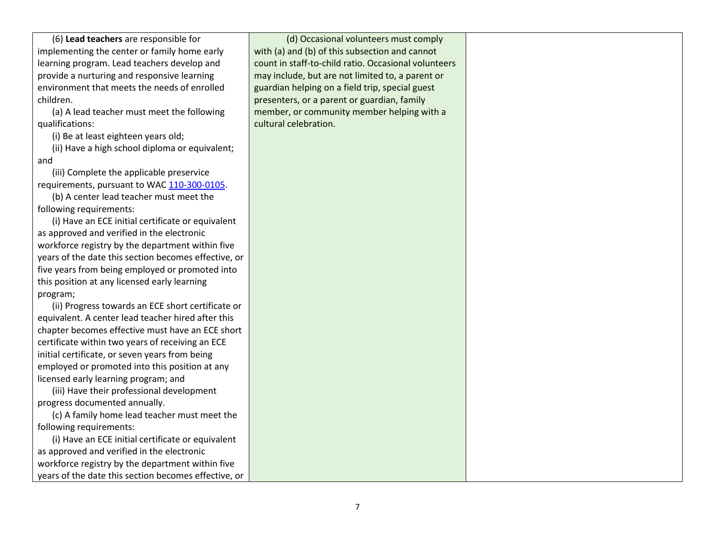| (6) Lead teachers are responsible for                | (d) Occasional volunteers must comply                |  |
|------------------------------------------------------|------------------------------------------------------|--|
| implementing the center or family home early         | with (a) and (b) of this subsection and cannot       |  |
| learning program. Lead teachers develop and          | count in staff-to-child ratio. Occasional volunteers |  |
| provide a nurturing and responsive learning          | may include, but are not limited to, a parent or     |  |
| environment that meets the needs of enrolled         | guardian helping on a field trip, special guest      |  |
| children.                                            | presenters, or a parent or guardian, family          |  |
| (a) A lead teacher must meet the following           | member, or community member helping with a           |  |
| qualifications:                                      | cultural celebration.                                |  |
| (i) Be at least eighteen years old;                  |                                                      |  |
| (ii) Have a high school diploma or equivalent;       |                                                      |  |
| and                                                  |                                                      |  |
| (iii) Complete the applicable preservice             |                                                      |  |
| requirements, pursuant to WAC 110-300-0105.          |                                                      |  |
| (b) A center lead teacher must meet the              |                                                      |  |
| following requirements:                              |                                                      |  |
| (i) Have an ECE initial certificate or equivalent    |                                                      |  |
| as approved and verified in the electronic           |                                                      |  |
| workforce registry by the department within five     |                                                      |  |
| years of the date this section becomes effective, or |                                                      |  |
| five years from being employed or promoted into      |                                                      |  |
| this position at any licensed early learning         |                                                      |  |
| program;                                             |                                                      |  |
| (ii) Progress towards an ECE short certificate or    |                                                      |  |
| equivalent. A center lead teacher hired after this   |                                                      |  |
| chapter becomes effective must have an ECE short     |                                                      |  |
| certificate within two years of receiving an ECE     |                                                      |  |
| initial certificate, or seven years from being       |                                                      |  |
| employed or promoted into this position at any       |                                                      |  |
| licensed early learning program; and                 |                                                      |  |
| (iii) Have their professional development            |                                                      |  |
| progress documented annually.                        |                                                      |  |
| (c) A family home lead teacher must meet the         |                                                      |  |
| following requirements:                              |                                                      |  |
| (i) Have an ECE initial certificate or equivalent    |                                                      |  |
| as approved and verified in the electronic           |                                                      |  |
| workforce registry by the department within five     |                                                      |  |
| years of the date this section becomes effective, or |                                                      |  |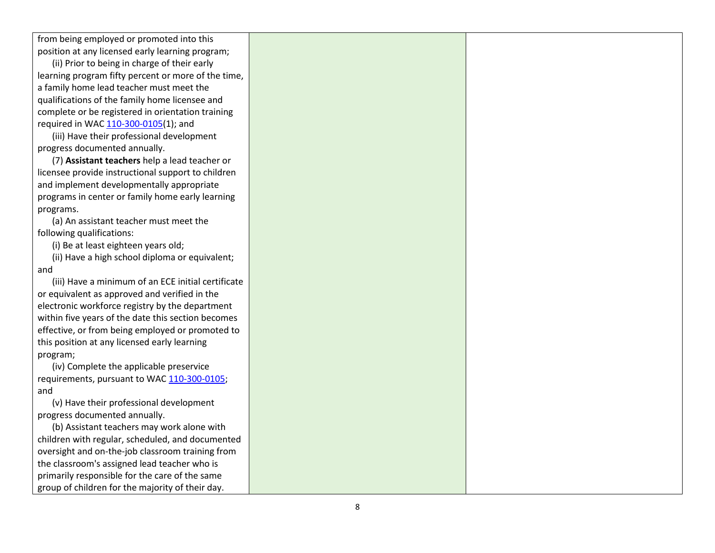from being employed or promoted into this position at any licensed early learning program;

(ii) Prior to being in charge of their early learning program fifty percent or more of the time, a family home lead teacher must meet the qualifications of the family home licensee and complete or be registered in orientation training required in WAC 110-300[-0105\(](https://apps.leg.wa.gov/wac/default.aspx?cite=110-300-0105)1); and

(iii) Have their professional development progress documented annually.

(7) **Assistant teachers** help a lead teacher or licensee provide instructional support to children and implement developmentally appropriate programs in center or family home early learning programs.

(a) An assistant teacher must meet the following qualifications:

(i) Be at least eighteen years old;

(ii) Have a high school diploma or equivalent; and

(iii) Have a minimum of an ECE initial certificate or equivalent as approved and verified in the electronic workforce registry by the department within five years of the date this section becomes effective, or from being employed or promoted to this position at any licensed early learning program;

(iv) Complete the applicable preservice requirements, pursuant to WAC 110-300[-0105;](https://apps.leg.wa.gov/wac/default.aspx?cite=110-300-0105) and

(v) Have their professional development progress documented annually.

(b) Assistant teachers may work alone with children with regular, scheduled, and documented oversight and on -the -job classroom training from the classroom's assigned lead teacher who is primarily responsible for the care of the same group of children for the majority of their day.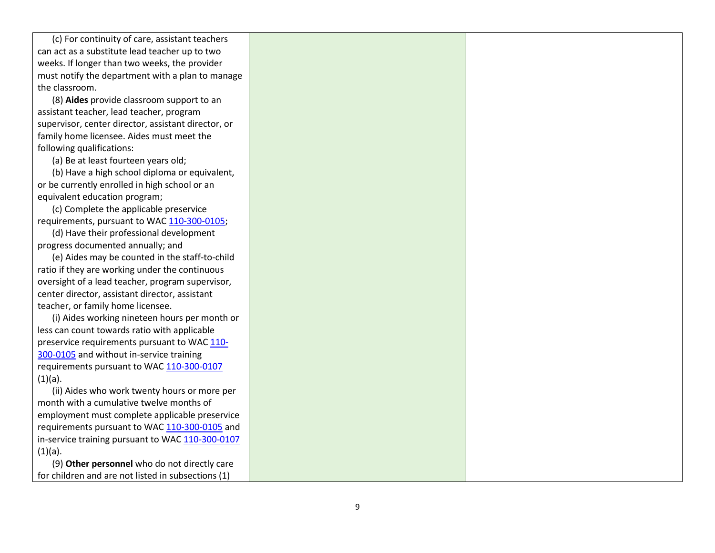(c) For continuity of care, assistant teachers can act as a substitute lead teacher up to two weeks. If longer than two weeks, the provider must notify the department with a plan to manage the classroom.

(8) **Aides** provide classroom support to an assistant teacher, lead teacher, program supervisor, center director, assistant director, or family home licensee. Aides must meet the following qualifications:

(a) Be at least fourteen years old;

(b) Have a high school diploma or equivalent, or be currently enrolled in high school or an equivalent education program;

(c) Complete the applicable preservice requirements, pursuant to WAC 110-300[-0105](https://apps.leg.wa.gov/wac/default.aspx?cite=110-300-0105);

(d) Have their professional development progress documented annually; and

(e) Aides may be counted in the staff -to -child ratio if they are working under the continuous oversight of a lead teacher, program supervisor, center director, assistant director, assistant teacher, or family home licensee.

(i) Aides working nineteen hours per month or less can count towards ratio with applicable preservice requirements pursuant to WAC [110](https://apps.leg.wa.gov/wac/default.aspx?cite=110-300-0105)-300 [-0105](https://apps.leg.wa.gov/wac/default.aspx?cite=110-300-0105) and without in -service training requirements pursuant to WAC 110-300[-0107](https://apps.leg.wa.gov/wac/default.aspx?cite=110-300-0107)  $(1)(a)$ .

(ii) Aides who work twenty hours or more per month with a cumulative twelve months of employment must complete applicable preservice requirements pursuant to WAC 110-300[-0105](https://apps.leg.wa.gov/wac/default.aspx?cite=110-300-0105) and in-service training pursuant to WAC 110-300[-0107](https://apps.leg.wa.gov/wac/default.aspx?cite=110-300-0107)  $(1)(a)$ .

(9) **Other personnel** who do not directly care for children and are not listed in subsections (1)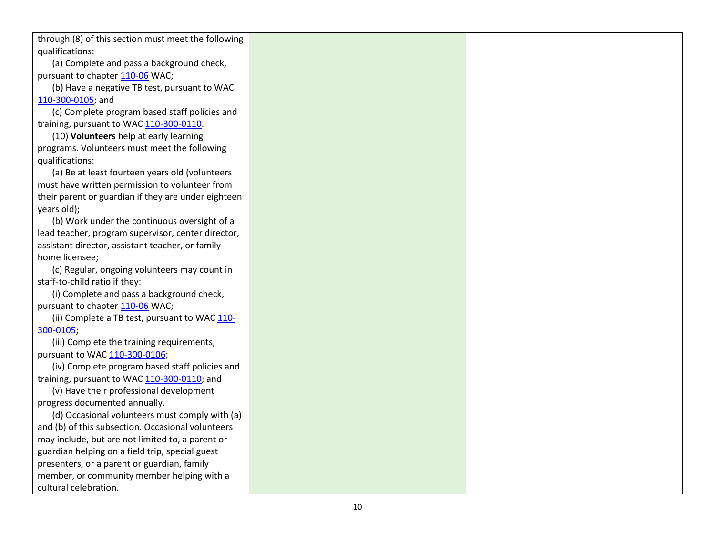through (8) of this section must meet the following qualifications:

(a) Complete and pass a background check, pursuant to chapter [110](https://apps.leg.wa.gov/wac/default.aspx?cite=110-06)-06 WAC;

(b) Have a negative TB test, pursuant to WAC 110-300[-0105;](https://apps.leg.wa.gov/wac/default.aspx?cite=110-300-0105) and

(c) Complete program based staff policies and training, pursuant to WAC 110-300[-0110](https://apps.leg.wa.gov/wac/default.aspx?cite=110-300-0110).

(10) **Volunteers** help at early learning programs. Volunteers must meet the following qualifications:

(a) Be at least fourteen years old (volunteers must have written permission to volunteer from their parent or guardian if they are under eighteen years old);

(b) Work under the continuous oversight of a lead teacher, program supervisor, center director, assistant director, assistant teacher, or family home licensee;

(c) Regular, ongoing volunteers may count in staff -to -child ratio if they:

(i) Complete and pass a background check, pursuant to chapter [110](https://apps.leg.wa.gov/wac/default.aspx?cite=110-06)-06 WAC;

(ii) Complete a TB test, pursuant to WAC [110](https://apps.leg.wa.gov/wac/default.aspx?cite=110-300-0105)-300 [-0105](https://apps.leg.wa.gov/wac/default.aspx?cite=110-300-0105) ;

(iii) Complete the training requirements, pursuant to WAC 110-300[-0106](https://apps.leg.wa.gov/wac/default.aspx?cite=110-300-0106);

(iv) Complete program based staff policies and training, pursuant to WAC 110-300[-0110;](https://apps.leg.wa.gov/wac/default.aspx?cite=110-300-0110) and

(v) Have their professional development progress documented annually.

(d) Occasional volunteers must comply with (a) and (b) of this subsection. Occasional volunteers may include, but are not limited to, a parent or guardian helping on a field trip, special guest presenters, or a parent or guardian, family member, or community member helping with a cultural celebration.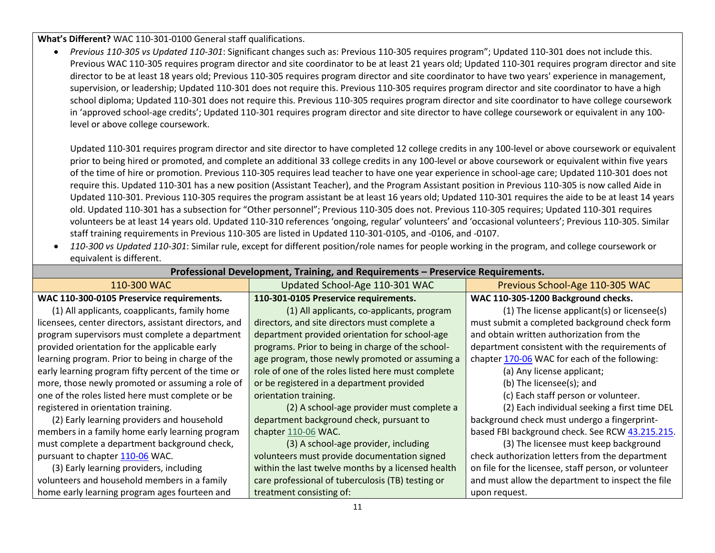**What's Different?** WAC 110-301-0100 General staff qualifications.

 *Previous 110-305 vs Updated 110-301*: Significant changes such as: Previous 110-305 requires program"; Updated 110-301 does not include this. Previous WAC 110-305 requires program director and site coordinator to be at least 21 years old; Updated 110-301 requires program director and site director to be at least 18 years old; Previous 110-305 requires program director and site coordinator to have two years' experience in management, supervision, or leadership; Updated 110-301 does not require this. Previous 110-305 requires program director and site coordinator to have a high school diploma; Updated 110-301 does not require this. Previous 110-305 requires program director and site coordinator to have college coursework in 'approved school-age credits'; Updated 110-301 requires program director and site director to have college coursework or equivalent in any 100 level or above college coursework.

Updated 110-301 requires program director and site director to have completed 12 college credits in any 100-level or above coursework or equivalent prior to being hired or promoted, and complete an additional 33 college credits in any 100-level or above coursework or equivalent within five years of the time of hire or promotion. Previous 110-305 requires lead teacher to have one year experience in school-age care; Updated 110-301 does not require this. Updated 110-301 has a new position (Assistant Teacher), and the Program Assistant position in Previous 110-305 is now called Aide in Updated 110-301. Previous 110-305 requires the program assistant be at least 16 years old; Updated 110-301 requires the aide to be at least 14 years old. Updated 110-301 has a subsection for "Other personnel"; Previous 110-305 does not. Previous 110-305 requires; Updated 110-301 requires volunteers be at least 14 years old. Updated 110-310 references 'ongoing, regular' volunteers' and 'occasional volunteers'; Previous 110-305. Similar staff training requirements in Previous 110-305 are listed in Updated 110-301-0105, and -0106, and -0107.

 *110-300 vs Updated 110-301*: Similar rule, except for different position/role names for people working in the program, and college coursework or equivalent is different. **Professional Development, Training, and Requirements – Preservice Requirements.**

| Professional Development, Training, and Requirements – Preservice Requirements. |                                                    |                                                      |  |  |  |  |
|---------------------------------------------------------------------------------|----------------------------------------------------|------------------------------------------------------|--|--|--|--|
| 110-300 WAC                                                                     | Updated School-Age 110-301 WAC                     | Previous School-Age 110-305 WAC                      |  |  |  |  |
| WAC 110-300-0105 Preservice requirements.                                       | 110-301-0105 Preservice requirements.              | WAC 110-305-1200 Background checks.                  |  |  |  |  |
| (1) All applicants, coapplicants, family home                                   | (1) All applicants, co-applicants, program         | (1) The license applicant(s) or licensee(s)          |  |  |  |  |
| licensees, center directors, assistant directors, and                           | directors, and site directors must complete a      | must submit a completed background check form        |  |  |  |  |
| program supervisors must complete a department                                  | department provided orientation for school-age     | and obtain written authorization from the            |  |  |  |  |
| provided orientation for the applicable early                                   | programs. Prior to being in charge of the school-  | department consistent with the requirements of       |  |  |  |  |
| learning program. Prior to being in charge of the                               | age program, those newly promoted or assuming a    | chapter 170-06 WAC for each of the following:        |  |  |  |  |
| early learning program fifty percent of the time or                             | role of one of the roles listed here must complete | (a) Any license applicant;                           |  |  |  |  |
| more, those newly promoted or assuming a role of                                | or be registered in a department provided          | (b) The licensee(s); and                             |  |  |  |  |
| one of the roles listed here must complete or be                                | orientation training.                              | (c) Each staff person or volunteer.                  |  |  |  |  |
| registered in orientation training.                                             | (2) A school-age provider must complete a          | (2) Each individual seeking a first time DEL         |  |  |  |  |
| (2) Early learning providers and household                                      | department background check, pursuant to           | background check must undergo a fingerprint-         |  |  |  |  |
| members in a family home early learning program                                 | chapter 110-06 WAC.                                | based FBI background check. See RCW 43.215.215.      |  |  |  |  |
| must complete a department background check,                                    | (3) A school-age provider, including               | (3) The licensee must keep background                |  |  |  |  |
| pursuant to chapter 110-06 WAC.                                                 | volunteers must provide documentation signed       | check authorization letters from the department      |  |  |  |  |
| (3) Early learning providers, including                                         | within the last twelve months by a licensed health | on file for the licensee, staff person, or volunteer |  |  |  |  |
| volunteers and household members in a family                                    | care professional of tuberculosis (TB) testing or  | and must allow the department to inspect the file    |  |  |  |  |
| home early learning program ages fourteen and                                   | treatment consisting of:                           | upon request.                                        |  |  |  |  |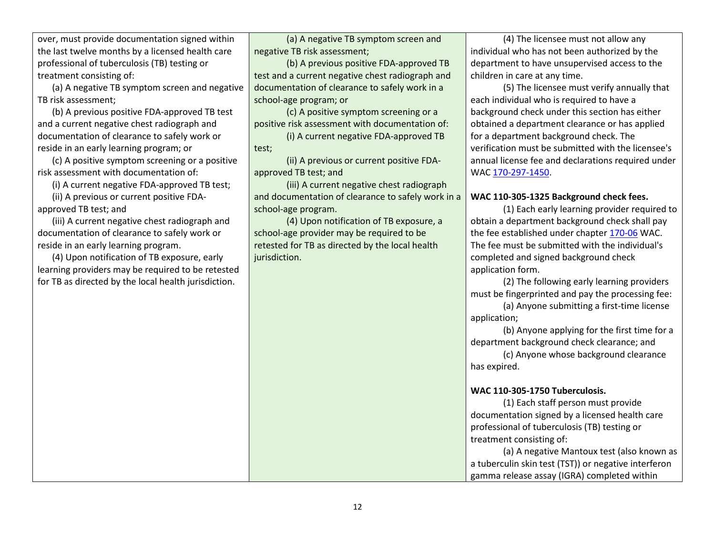over, must provide documentation signed within the last twelve months by a licensed health care professional of tuberculosis (TB) testing or treatment consisting of:

(a) A negative TB symptom screen and negative TB risk assessment;

(b) A previous positive FDA-approved TB test and a current negative chest radiograph and documentation of clearance to safely work or reside in an early learning program; or

(c) A positive symptom screening or a positive risk assessment with documentation of:

(i) A current negative FDA-approved TB test;

(ii) A previous or current positive FDA-

approved TB test; and

(iii) A current negative chest radiograph and documentation of clearance to safely work or reside in an early learning program.

(4) Upon notification of TB exposure, early learning providers may be required to be retested for TB as directed by the local health jurisdiction.

(a) A negative TB symptom screen and negative TB risk assessment;

(b) A previous positive FDA-approved TB test and a current negative chest radiograph and documentation of clearance to safely work in a school-age program; or

(c) A positive symptom screening or a positive risk assessment with documentation of:

(i) A current negative FDA-approved TB test;

(ii) A previous or current positive FDAapproved TB test; and

(iii) A current negative chest radiograph and documentation of clearance to safely work in a school-age program.

(4) Upon notification of TB exposure, a school-age provider may be required to be retested for TB as directed by the local health jurisdiction.

(4) The licensee must not allow any individual who has not been authorized by the department to have unsupervised access to the children in care at any time.

(5) The licensee must verify annually that each individual who is required to have a background check under this section has either obtained a department clearance or has applied for a department background check. The verification must be submitted with the licensee's annual license fee and declarations required under WAC [170-297-1450.](https://app.leg.wa.gov/wac/default.aspx?cite=170-297-1450)

#### **WAC 110-305-1325 Background check fees.**

(1) Each early learning provider required to obtain a department background check shall pay the fee established under chapter [170-06](https://app.leg.wa.gov/wac/default.aspx?cite=170-06) WAC. The fee must be submitted with the individual's completed and signed background check application form.

(2) The following early learning providers must be fingerprinted and pay the processing fee:

(a) Anyone submitting a first-time license application;

(b) Anyone applying for the first time for a department background check clearance; and

(c) Anyone whose background clearance has expired.

#### **WAC 110-305-1750 Tuberculosis.**

(1) Each staff person must provide documentation signed by a licensed health care professional of tuberculosis (TB) testing or treatment consisting of:

(a) A negative Mantoux test (also known as a tuberculin skin test (TST)) or negative interferon gamma release assay (IGRA) completed within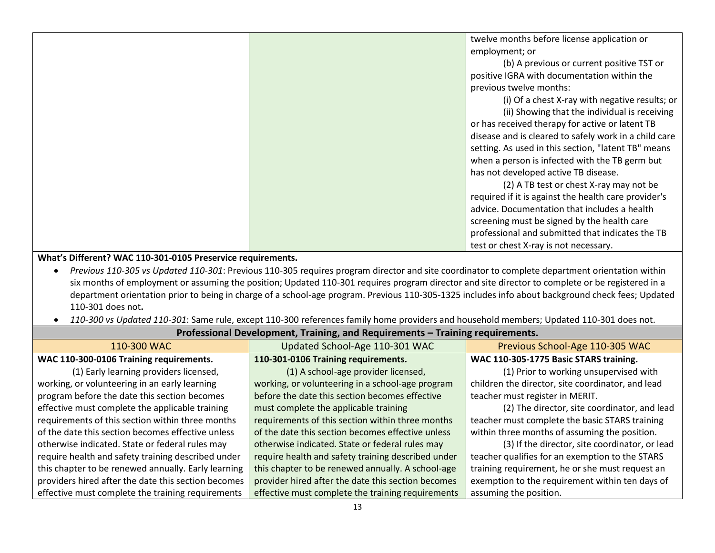| twelve months before license application or           |
|-------------------------------------------------------|
| employment; or                                        |
| (b) A previous or current positive TST or             |
| positive IGRA with documentation within the           |
| previous twelve months:                               |
| (i) Of a chest X-ray with negative results; or        |
| (ii) Showing that the individual is receiving         |
| or has received therapy for active or latent TB       |
| disease and is cleared to safely work in a child care |
| setting. As used in this section, "latent TB" means   |
| when a person is infected with the TB germ but        |
| has not developed active TB disease.                  |
| (2) A TB test or chest X-ray may not be               |
| required if it is against the health care provider's  |
| advice. Documentation that includes a health          |
| screening must be signed by the health care           |
| professional and submitted that indicates the TB      |
| test or chest X-ray is not necessary.                 |

# **What's Different? WAC 110-301-0105 Preservice requirements.**

- *Previous 110-305 vs Updated 110-301*: Previous 110-305 requires program director and site coordinator to complete department orientation within six months of employment or assuming the position; Updated 110-301 requires program director and site director to complete or be registered in a department orientation prior to being in charge of a school-age program. Previous 110-305-1325 includes info about background check fees; Updated 110-301 does not**.**
- *110-300 vs Updated 110-301*: Same rule, except 110-300 references family home providers and household members; Updated 110-301 does not.

| Professional Development, Training, and Requirements - Training requirements. |                                                    |                                                   |  |  |  |
|-------------------------------------------------------------------------------|----------------------------------------------------|---------------------------------------------------|--|--|--|
| 110-300 WAC                                                                   | Updated School-Age 110-301 WAC                     | Previous School-Age 110-305 WAC                   |  |  |  |
| WAC 110-300-0106 Training requirements.                                       | 110-301-0106 Training requirements.                | WAC 110-305-1775 Basic STARS training.            |  |  |  |
| (1) Early learning providers licensed,                                        | (1) A school-age provider licensed,                | (1) Prior to working unsupervised with            |  |  |  |
| working, or volunteering in an early learning                                 | working, or volunteering in a school-age program   | children the director, site coordinator, and lead |  |  |  |
| program before the date this section becomes                                  | before the date this section becomes effective     | teacher must register in MERIT.                   |  |  |  |
| effective must complete the applicable training                               | must complete the applicable training              | (2) The director, site coordinator, and lead      |  |  |  |
| requirements of this section within three months                              | requirements of this section within three months   | teacher must complete the basic STARS training    |  |  |  |
| of the date this section becomes effective unless                             | of the date this section becomes effective unless  | within three months of assuming the position.     |  |  |  |
| otherwise indicated. State or federal rules may                               | otherwise indicated. State or federal rules may    | (3) If the director, site coordinator, or lead    |  |  |  |
| require health and safety training described under                            | require health and safety training described under | teacher qualifies for an exemption to the STARS   |  |  |  |
| this chapter to be renewed annually. Early learning                           | this chapter to be renewed annually. A school-age  | training requirement, he or she must request an   |  |  |  |
| providers hired after the date this section becomes                           | provider hired after the date this section becomes | exemption to the requirement within ten days of   |  |  |  |
| effective must complete the training requirements                             | effective must complete the training requirements  | assuming the position.                            |  |  |  |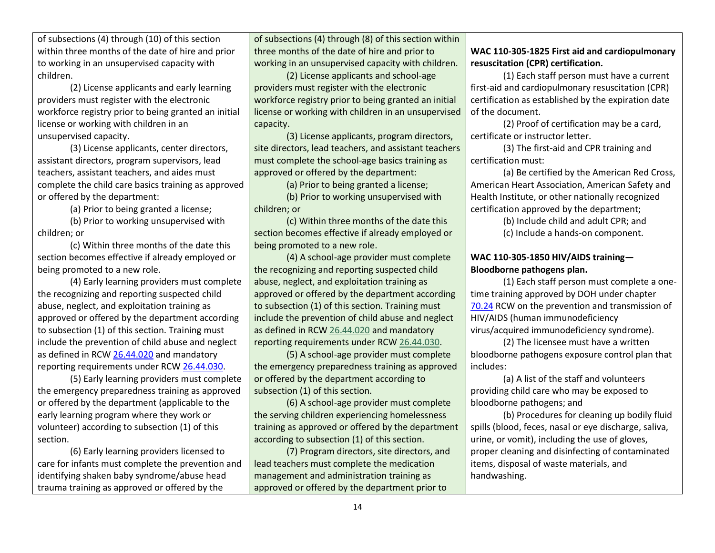of subsections (4) through (10) of this section within three months of the date of hire and prior to working in an unsupervised capacity with children.

(2) License applicants and early learning providers must register with the electronic workforce registry prior to being granted an initial license or working with children in an unsupervised capacity.

(3) License applicants, center directors, assistant directors, program supervisors, lead teachers, assistant teachers, and aides must complete the child care basics training as approved or offered by the department:

(a) Prior to being granted a license;

(b) Prior to working unsupervised with children; or

(c) Within three months of the date this section becomes effective if already employed or being promoted to a new role.

(4) Early learning providers must complete the recognizing and reporting suspected child abuse, neglect, and exploitation training as approved or offered by the department according to subsection (1) of this section. Training must include the prevention of child abuse and neglect as defined in RCW [26.44.020](http://app.leg.wa.gov/RCW/default.aspx?cite=26.44.020) and mandatory reporting requirements under RC[W 26.44.030.](http://app.leg.wa.gov/RCW/default.aspx?cite=26.44.030)

(5) Early learning providers must complete the emergency preparedness training as approved or offered by the department (applicable to the early learning program where they work or volunteer) according to subsection (1) of this section.

(6) Early learning providers licensed to care for infants must complete the prevention and identifying shaken baby syndrome/abuse head trauma training as approved or offered by the

of subsections (4) through (8) of this section within three months of the date of hire and prior to working in an unsupervised capacity with children.

(2) License applicants and school-age providers must register with the electronic workforce registry prior to being granted an initial license or working with children in an unsupervised capacity.

(3) License applicants, program directors, site directors, lead teachers, and assistant teachers must complete the school-age basics training as approved or offered by the department:

(a) Prior to being granted a license;

(b) Prior to working unsupervised with children; or

(c) Within three months of the date this section becomes effective if already employed or being promoted to a new role.

(4) A school-age provider must complete the recognizing and reporting suspected child abuse, neglect, and exploitation training as approved or offered by the department according to subsection (1) of this section. Training must include the prevention of child abuse and neglect as defined in RCW [26.44.020](http://app.leg.wa.gov/RCW/default.aspx?cite=26.44.020) and mandatory reporting requirements under RCW [26.44.030.](http://app.leg.wa.gov/RCW/default.aspx?cite=26.44.030)

(5) A school-age provider must complete the emergency preparedness training as approved or offered by the department according to subsection (1) of this section.

(6) A school-age provider must complete the serving children experiencing homelessness training as approved or offered by the department according to subsection (1) of this section.

(7) Program directors, site directors, and lead teachers must complete the medication management and administration training as approved or offered by the department prior to

# **WAC 110-305-1825 First aid and cardiopulmonary resuscitation (CPR) certification.**

(1) Each staff person must have a current first-aid and cardiopulmonary resuscitation (CPR) certification as established by the expiration date of the document.

(2) Proof of certification may be a card, certificate or instructor letter.

(3) The first-aid and CPR training and certification must:

(a) Be certified by the American Red Cross, American Heart Association, American Safety and Health Institute, or other nationally recognized certification approved by the department;

(b) Include child and adult CPR; and

(c) Include a hands-on component.

# **WAC 110-305-1850 HIV/AIDS training— Bloodborne pathogens plan.**

(1) Each staff person must complete a onetime training approved by DOH under chapter [70.24](http://app.leg.wa.gov/RCW/default.aspx?cite=70.24) RCW on the prevention and transmission of HIV/AIDS (human immunodeficiency virus/acquired immunodeficiency syndrome).

(2) The licensee must have a written bloodborne pathogens exposure control plan that includes:

(a) A list of the staff and volunteers providing child care who may be exposed to bloodborne pathogens; and

(b) Procedures for cleaning up bodily fluid spills (blood, feces, nasal or eye discharge, saliva, urine, or vomit), including the use of gloves, proper cleaning and disinfecting of contaminated items, disposal of waste materials, and handwashing.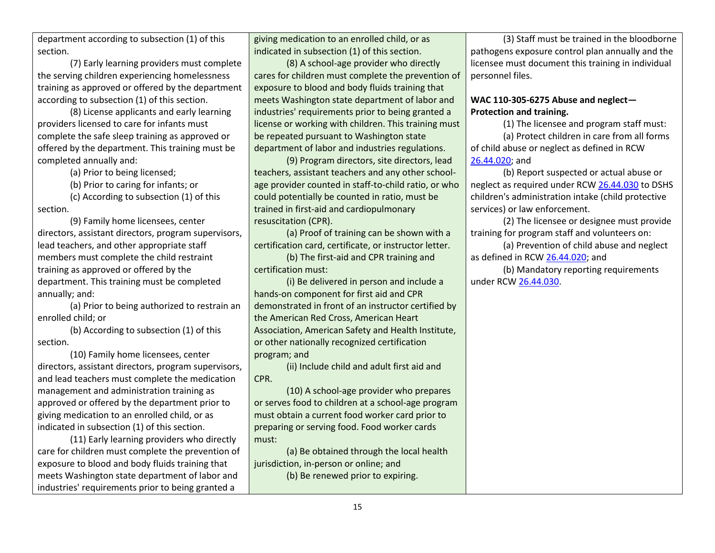department according to subsection (1) of this section.

(7) Early learning providers must complete the serving children experiencing homelessness training as approved or offered by the department according to subsection (1) of this section.

(8) License applicants and early learning providers licensed to care for infants must complete the safe sleep training as approved or offered by the department. This training must be completed annually and:

(a) Prior to being licensed;

(b) Prior to caring for infants; or

(c) According to subsection (1) of this section.

(9) Family home licensees, center directors, assistant directors, program supervisors, lead teachers, and other appropriate staff members must complete the child restraint training as approved or offered by the department. This training must be completed annually; and:

(a) Prior to being authorized to restrain an enrolled child; or

(b) According to subsection (1) of this section.

(10) Family home licensees, center directors, assistant directors, program supervisors, and lead teachers must complete the medication management and administration training as approved or offered by the department prior to giving medication to an enrolled child, or as indicated in subsection (1) of this section.

(11) Early learning providers who directly care for children must complete the prevention of exposure to blood and body fluids training that meets Washington state department of labor and industries' requirements prior to being granted a

giving medication to an enrolled child, or as indicated in subsection (1) of this section.

(8) A school-age provider who directly cares for children must complete the prevention of exposure to blood and body fluids training that meets Washington state department of labor and industries' requirements prior to being granted a license or working with children. This training must be repeated pursuant to Washington state department of labor and industries regulations.

(9) Program directors, site directors, lead teachers, assistant teachers and any other schoolage provider counted in staff-to-child ratio, or who could potentially be counted in ratio, must be trained in first-aid and cardiopulmonary resuscitation (CPR).

(a) Proof of training can be shown with a certification card, certificate, or instructor letter.

(b) The first-aid and CPR training and certification must:

(i) Be delivered in person and include a hands-on component for first aid and CPR demonstrated in front of an instructor certified by the American Red Cross, American Heart Association, American Safety and Health Institute, or other nationally recognized certification program; and

(ii) Include child and adult first aid and CPR.

(10) A school-age provider who prepares or serves food to children at a school-age program must obtain a current food worker card prior to preparing or serving food. Food worker cards must:

(a) Be obtained through the local health jurisdiction, in-person or online; and (b) Be renewed prior to expiring.

(3) Staff must be trained in the bloodborne pathogens exposure control plan annually and the licensee must document this training in individual personnel files.

# **WAC 110-305-6275 Abuse and neglect— Protection and training.**

(1) The licensee and program staff must:

(a) Protect children in care from all forms of child abuse or neglect as defined in RCW [26.44.020;](http://app.leg.wa.gov/RCW/default.aspx?cite=26.44.020) and

(b) Report suspected or actual abuse or neglect as required under RCW [26.44.030](http://app.leg.wa.gov/RCW/default.aspx?cite=26.44.030) to DSHS children's administration intake (child protective services) or law enforcement.

(2) The licensee or designee must provide training for program staff and volunteers on:

(a) Prevention of child abuse and neglect as defined in RCW [26.44.020;](http://app.leg.wa.gov/RCW/default.aspx?cite=26.44.020) and

(b) Mandatory reporting requirements under RC[W 26.44.030.](http://app.leg.wa.gov/RCW/default.aspx?cite=26.44.030)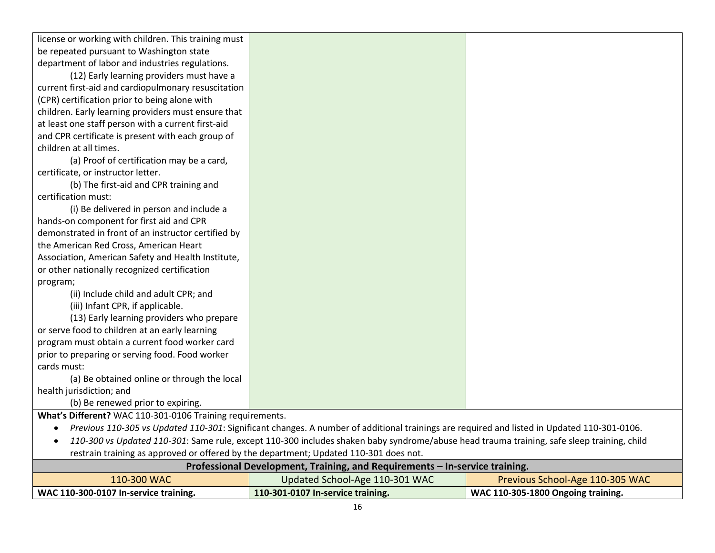| license or working with children. This training must      |                                                                                                                                             |  |
|-----------------------------------------------------------|---------------------------------------------------------------------------------------------------------------------------------------------|--|
| be repeated pursuant to Washington state                  |                                                                                                                                             |  |
| department of labor and industries regulations.           |                                                                                                                                             |  |
| (12) Early learning providers must have a                 |                                                                                                                                             |  |
| current first-aid and cardiopulmonary resuscitation       |                                                                                                                                             |  |
| (CPR) certification prior to being alone with             |                                                                                                                                             |  |
| children. Early learning providers must ensure that       |                                                                                                                                             |  |
| at least one staff person with a current first-aid        |                                                                                                                                             |  |
| and CPR certificate is present with each group of         |                                                                                                                                             |  |
| children at all times.                                    |                                                                                                                                             |  |
| (a) Proof of certification may be a card,                 |                                                                                                                                             |  |
| certificate, or instructor letter.                        |                                                                                                                                             |  |
| (b) The first-aid and CPR training and                    |                                                                                                                                             |  |
| certification must:                                       |                                                                                                                                             |  |
| (i) Be delivered in person and include a                  |                                                                                                                                             |  |
| hands-on component for first aid and CPR                  |                                                                                                                                             |  |
| demonstrated in front of an instructor certified by       |                                                                                                                                             |  |
| the American Red Cross, American Heart                    |                                                                                                                                             |  |
| Association, American Safety and Health Institute,        |                                                                                                                                             |  |
| or other nationally recognized certification              |                                                                                                                                             |  |
| program;                                                  |                                                                                                                                             |  |
| (ii) Include child and adult CPR; and                     |                                                                                                                                             |  |
| (iii) Infant CPR, if applicable.                          |                                                                                                                                             |  |
| (13) Early learning providers who prepare                 |                                                                                                                                             |  |
| or serve food to children at an early learning            |                                                                                                                                             |  |
| program must obtain a current food worker card            |                                                                                                                                             |  |
| prior to preparing or serving food. Food worker           |                                                                                                                                             |  |
| cards must:                                               |                                                                                                                                             |  |
| (a) Be obtained online or through the local               |                                                                                                                                             |  |
| health jurisdiction; and                                  |                                                                                                                                             |  |
| (b) Be renewed prior to expiring.                         |                                                                                                                                             |  |
| What's Different? WAC 110-301-0106 Training requirements. |                                                                                                                                             |  |
|                                                           | Previous 110-305 vs Updated 110-301: Significant changes. A number of additional trainings are required and listed in Updated 110-301-0106. |  |
|                                                           | 110-300 vs Updated 110-301: Same rule, except 110-300 includes shaken baby syndrome/abuse head trauma training, safe sleep training, child  |  |

| restrain training as approved or offered by the department; Updated 110-301 does not. |  |  |  |  |  |  |
|---------------------------------------------------------------------------------------|--|--|--|--|--|--|
|                                                                                       |  |  |  |  |  |  |

| Professional Development, Training, and Requirements – In-service training. |                                                                   |                                    |  |  |  |
|-----------------------------------------------------------------------------|-------------------------------------------------------------------|------------------------------------|--|--|--|
| 110-300 WAC                                                                 | Previous School-Age 110-305 WAC<br>Updated School-Age 110-301 WAC |                                    |  |  |  |
| WAC 110-300-0107 In-service training.                                       | 110-301-0107 In-service training.                                 | WAC 110-305-1800 Ongoing training. |  |  |  |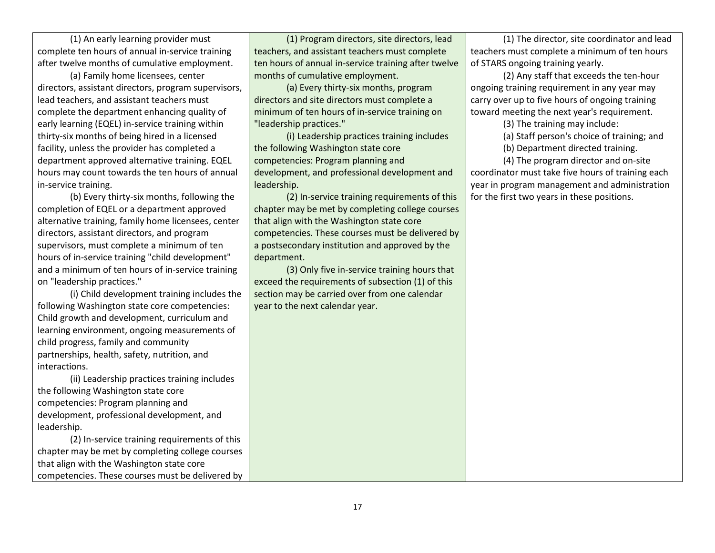(1) An early learning provider must complete ten hours of annual in-service training after twelve months of cumulative employment.

(a) Family home licensees, center directors, assistant directors, program supervisors, lead teachers, and assistant teachers must complete the department enhancing quality of early learning (EQEL) in-service training within thirty-six months of being hired in a licensed facility, unless the provider has completed a department approved alternative training. EQEL hours may count towards the ten hours of annual in-service training.

(b) Every thirty-six months, following the completion of EQEL or a department approved alternative training, family home licensees, center directors, assistant directors, and program supervisors, must complete a minimum of ten hours of in-service training "child development" and a minimum of ten hours of in-service training on "leadership practices."

(i) Child development training includes the following Washington state core competencies: Child growth and development, curriculum and learning environment, ongoing measurements of child progress, family and community partnerships, health, safety, nutrition, and interactions.

(ii) Leadership practices training includes the following Washington state core competencies: Program planning and development, professional development, and leadership.

(2) In-service training requirements of this chapter may be met by completing college courses that align with the Washington state core competencies. These courses must be delivered by

(1) Program directors, site directors, lead teachers, and assistant teachers must complete ten hours of annual in-service training after twelve months of cumulative employment.

(a) Every thirty-six months, program directors and site directors must complete a minimum of ten hours of in-service training on "leadership practices."

(i) Leadership practices training includes the following Washington state core competencies: Program planning and development, and professional development and leadership.

(2) In-service training requirements of this chapter may be met by completing college courses that align with the Washington state core competencies. These courses must be delivered by a postsecondary institution and approved by the department.

(3) Only five in-service training hours that exceed the requirements of subsection (1) of this section may be carried over from one calendar year to the next calendar year.

(1) The director, site coordinator and lead teachers must complete a minimum of ten hours of STARS ongoing training yearly.

(2) Any staff that exceeds the ten-hour ongoing training requirement in any year may carry over up to five hours of ongoing training toward meeting the next year's requirement.

(3) The training may include:

(a) Staff person's choice of training; and

(b) Department directed training.

(4) The program director and on-site coordinator must take five hours of training each year in program management and administration for the first two years in these positions.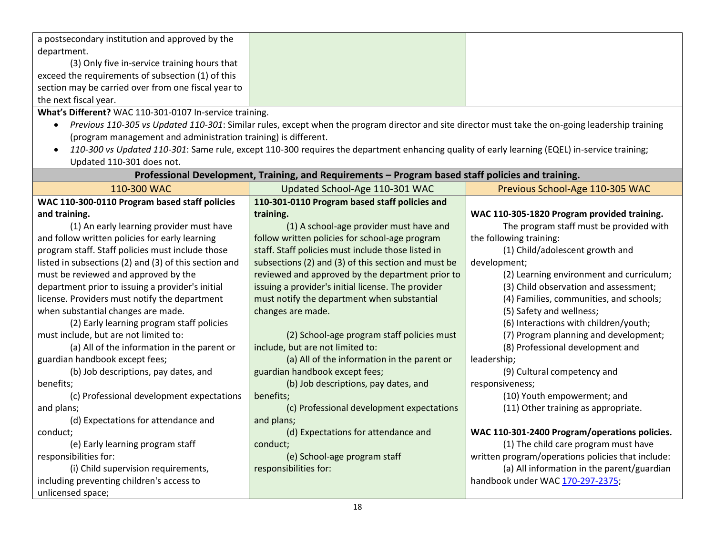| a postsecondary institution and approved by the<br>department.<br>(3) Only five in-service training hours that<br>exceed the requirements of subsection (1) of this<br>section may be carried over from one fiscal year to<br>the next fiscal year. |                                                                                                                                                   |                                                   |
|-----------------------------------------------------------------------------------------------------------------------------------------------------------------------------------------------------------------------------------------------------|---------------------------------------------------------------------------------------------------------------------------------------------------|---------------------------------------------------|
| What's Different? WAC 110-301-0107 In-service training.                                                                                                                                                                                             | Previous 110-305 vs Updated 110-301: Similar rules, except when the program director and site director must take the on-going leadership training |                                                   |
| (program management and administration training) is different.                                                                                                                                                                                      |                                                                                                                                                   |                                                   |
| $\bullet$                                                                                                                                                                                                                                           | 110-300 vs Updated 110-301: Same rule, except 110-300 requires the department enhancing quality of early learning (EQEL) in-service training;     |                                                   |
| Updated 110-301 does not.                                                                                                                                                                                                                           |                                                                                                                                                   |                                                   |
|                                                                                                                                                                                                                                                     | Professional Development, Training, and Requirements - Program based staff policies and training.                                                 |                                                   |
| 110-300 WAC                                                                                                                                                                                                                                         | Updated School-Age 110-301 WAC                                                                                                                    | Previous School-Age 110-305 WAC                   |
| WAC 110-300-0110 Program based staff policies                                                                                                                                                                                                       | 110-301-0110 Program based staff policies and                                                                                                     |                                                   |
| and training.                                                                                                                                                                                                                                       | training.                                                                                                                                         | WAC 110-305-1820 Program provided training.       |
| (1) An early learning provider must have                                                                                                                                                                                                            | (1) A school-age provider must have and                                                                                                           | The program staff must be provided with           |
| and follow written policies for early learning                                                                                                                                                                                                      | follow written policies for school-age program                                                                                                    | the following training:                           |
| program staff. Staff policies must include those                                                                                                                                                                                                    | staff. Staff policies must include those listed in                                                                                                | (1) Child/adolescent growth and                   |
| listed in subsections (2) and (3) of this section and                                                                                                                                                                                               | subsections (2) and (3) of this section and must be                                                                                               | development;                                      |
| must be reviewed and approved by the                                                                                                                                                                                                                | reviewed and approved by the department prior to                                                                                                  | (2) Learning environment and curriculum;          |
| department prior to issuing a provider's initial                                                                                                                                                                                                    | issuing a provider's initial license. The provider                                                                                                | (3) Child observation and assessment;             |
| license. Providers must notify the department                                                                                                                                                                                                       | must notify the department when substantial                                                                                                       | (4) Families, communities, and schools;           |
| when substantial changes are made.                                                                                                                                                                                                                  | changes are made.                                                                                                                                 | (5) Safety and wellness;                          |
| (2) Early learning program staff policies                                                                                                                                                                                                           |                                                                                                                                                   | (6) Interactions with children/youth;             |
| must include, but are not limited to:                                                                                                                                                                                                               | (2) School-age program staff policies must                                                                                                        | (7) Program planning and development;             |
| (a) All of the information in the parent or                                                                                                                                                                                                         | include, but are not limited to:                                                                                                                  | (8) Professional development and                  |
| guardian handbook except fees;                                                                                                                                                                                                                      | (a) All of the information in the parent or                                                                                                       | leadership;                                       |
| (b) Job descriptions, pay dates, and                                                                                                                                                                                                                | guardian handbook except fees;                                                                                                                    | (9) Cultural competency and                       |
| benefits;                                                                                                                                                                                                                                           | (b) Job descriptions, pay dates, and                                                                                                              | responsiveness;                                   |
| (c) Professional development expectations                                                                                                                                                                                                           | benefits;                                                                                                                                         | (10) Youth empowerment; and                       |
| and plans;                                                                                                                                                                                                                                          | (c) Professional development expectations                                                                                                         | (11) Other training as appropriate.               |
| (d) Expectations for attendance and                                                                                                                                                                                                                 | and plans;                                                                                                                                        |                                                   |
| conduct;                                                                                                                                                                                                                                            | (d) Expectations for attendance and                                                                                                               | WAC 110-301-2400 Program/operations policies.     |
| (e) Early learning program staff                                                                                                                                                                                                                    | conduct;                                                                                                                                          | (1) The child care program must have              |
| responsibilities for:                                                                                                                                                                                                                               | (e) School-age program staff                                                                                                                      | written program/operations policies that include: |
| (i) Child supervision requirements,                                                                                                                                                                                                                 | responsibilities for:                                                                                                                             | (a) All information in the parent/guardian        |
| including preventing children's access to                                                                                                                                                                                                           |                                                                                                                                                   | handbook under WAC 170-297-2375;                  |
| unlicensed space;                                                                                                                                                                                                                                   |                                                                                                                                                   |                                                   |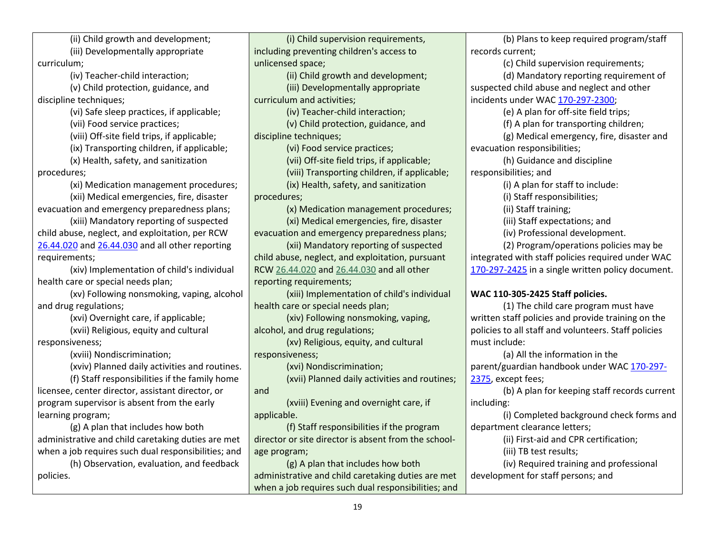| (ii) Child growth and development;                  | (i) Child supervision requirements,                  | (b) Plans to keep required program/staff             |
|-----------------------------------------------------|------------------------------------------------------|------------------------------------------------------|
| (iii) Developmentally appropriate                   | including preventing children's access to            | records current;                                     |
| curriculum;                                         | unlicensed space;                                    | (c) Child supervision requirements;                  |
| (iv) Teacher-child interaction;                     | (ii) Child growth and development;                   | (d) Mandatory reporting requirement of               |
| (v) Child protection, guidance, and                 | (iii) Developmentally appropriate                    | suspected child abuse and neglect and other          |
| discipline techniques;                              | curriculum and activities;                           | incidents under WAC 170-297-2300;                    |
| (vi) Safe sleep practices, if applicable;           | (iv) Teacher-child interaction;                      | (e) A plan for off-site field trips;                 |
| (vii) Food service practices;                       | (v) Child protection, guidance, and                  | (f) A plan for transporting children;                |
| (viii) Off-site field trips, if applicable;         | discipline techniques;                               | (g) Medical emergency, fire, disaster and            |
| (ix) Transporting children, if applicable;          | (vi) Food service practices;                         | evacuation responsibilities;                         |
| (x) Health, safety, and sanitization                | (vii) Off-site field trips, if applicable;           | (h) Guidance and discipline                          |
| procedures;                                         | (viii) Transporting children, if applicable;         | responsibilities; and                                |
| (xi) Medication management procedures;              | (ix) Health, safety, and sanitization                | (i) A plan for staff to include:                     |
| (xii) Medical emergencies, fire, disaster           | procedures;                                          | (i) Staff responsibilities;                          |
| evacuation and emergency preparedness plans;        | (x) Medication management procedures;                | (ii) Staff training;                                 |
| (xiii) Mandatory reporting of suspected             | (xi) Medical emergencies, fire, disaster             | (iii) Staff expectations; and                        |
| child abuse, neglect, and exploitation, per RCW     | evacuation and emergency preparedness plans;         | (iv) Professional development.                       |
| 26.44.020 and 26.44.030 and all other reporting     | (xii) Mandatory reporting of suspected               | (2) Program/operations policies may be               |
| requirements;                                       | child abuse, neglect, and exploitation, pursuant     | integrated with staff policies required under WAC    |
| (xiv) Implementation of child's individual          | RCW 26.44.020 and 26.44.030 and all other            | 170-297-2425 in a single written policy document.    |
| health care or special needs plan;                  | reporting requirements;                              |                                                      |
| (xv) Following nonsmoking, vaping, alcohol          | (xiii) Implementation of child's individual          | WAC 110-305-2425 Staff policies.                     |
| and drug regulations;                               | health care or special needs plan;                   | (1) The child care program must have                 |
| (xvi) Overnight care, if applicable;                | (xiv) Following nonsmoking, vaping,                  | written staff policies and provide training on the   |
| (xvii) Religious, equity and cultural               | alcohol, and drug regulations;                       | policies to all staff and volunteers. Staff policies |
| responsiveness;                                     | (xv) Religious, equity, and cultural                 | must include:                                        |
| (xviii) Nondiscrimination;                          | responsiveness;                                      | (a) All the information in the                       |
| (xviv) Planned daily activities and routines.       | (xvi) Nondiscrimination;                             | parent/guardian handbook under WAC 170-297-          |
| (f) Staff responsibilities if the family home       | (xvii) Planned daily activities and routines;        | 2375, except fees;                                   |
| licensee, center director, assistant director, or   | and                                                  | (b) A plan for keeping staff records current         |
| program supervisor is absent from the early         | (xviii) Evening and overnight care, if               | including:                                           |
| learning program;                                   | applicable.                                          | (i) Completed background check forms and             |
| (g) A plan that includes how both                   | (f) Staff responsibilities if the program            | department clearance letters;                        |
| administrative and child caretaking duties are met  | director or site director is absent from the school- | (ii) First-aid and CPR certification;                |
| when a job requires such dual responsibilities; and | age program;                                         | (iii) TB test results;                               |
| (h) Observation, evaluation, and feedback           | (g) A plan that includes how both                    | (iv) Required training and professional              |
| policies.                                           | administrative and child caretaking duties are met   | development for staff persons; and                   |
|                                                     | when a job requires such dual responsibilities; and  |                                                      |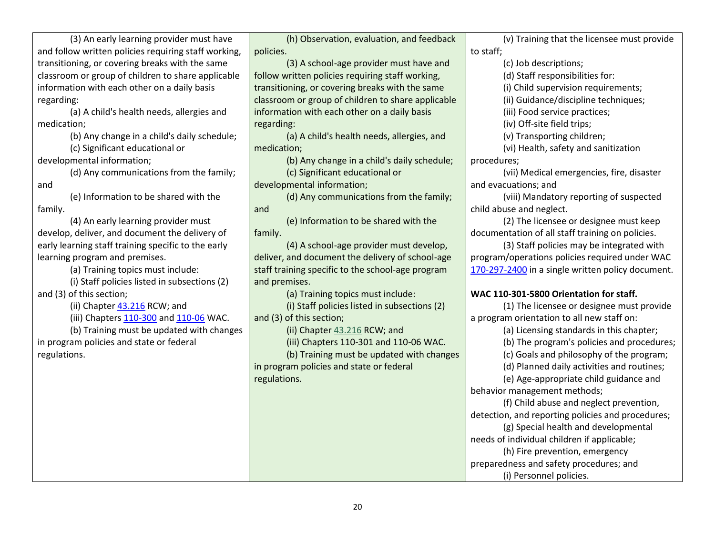| (3) An early learning provider must have             | (h) Observation, evaluation, and feedback          | (v) Training that the licensee must provide       |
|------------------------------------------------------|----------------------------------------------------|---------------------------------------------------|
| and follow written policies requiring staff working, | policies.                                          | to staff;                                         |
| transitioning, or covering breaks with the same      | (3) A school-age provider must have and            | (c) Job descriptions;                             |
| classroom or group of children to share applicable   | follow written policies requiring staff working,   | (d) Staff responsibilities for:                   |
| information with each other on a daily basis         | transitioning, or covering breaks with the same    | (i) Child supervision requirements;               |
| regarding:                                           | classroom or group of children to share applicable | (ii) Guidance/discipline techniques;              |
| (a) A child's health needs, allergies and            | information with each other on a daily basis       | (iii) Food service practices;                     |
| medication;                                          | regarding:                                         | (iv) Off-site field trips;                        |
| (b) Any change in a child's daily schedule;          | (a) A child's health needs, allergies, and         | (v) Transporting children;                        |
| (c) Significant educational or                       | medication;                                        | (vi) Health, safety and sanitization              |
| developmental information;                           | (b) Any change in a child's daily schedule;        | procedures;                                       |
| (d) Any communications from the family;              | (c) Significant educational or                     | (vii) Medical emergencies, fire, disaster         |
| and                                                  | developmental information;                         | and evacuations; and                              |
| (e) Information to be shared with the                | (d) Any communications from the family;            | (viii) Mandatory reporting of suspected           |
| family.                                              | and                                                | child abuse and neglect.                          |
| (4) An early learning provider must                  | (e) Information to be shared with the              | (2) The licensee or designee must keep            |
| develop, deliver, and document the delivery of       | family.                                            | documentation of all staff training on policies.  |
| early learning staff training specific to the early  | (4) A school-age provider must develop,            | (3) Staff policies may be integrated with         |
| learning program and premises.                       | deliver, and document the delivery of school-age   | program/operations policies required under WAC    |
| (a) Training topics must include:                    | staff training specific to the school-age program  | 170-297-2400 in a single written policy document. |
| (i) Staff policies listed in subsections (2)         | and premises.                                      |                                                   |
| and (3) of this section;                             | (a) Training topics must include:                  | WAC 110-301-5800 Orientation for staff.           |
| (ii) Chapter 43.216 RCW; and                         | (i) Staff policies listed in subsections (2)       | (1) The licensee or designee must provide         |
| (iii) Chapters 110-300 and 110-06 WAC.               | and (3) of this section;                           | a program orientation to all new staff on:        |
| (b) Training must be updated with changes            | (ii) Chapter 43.216 RCW; and                       | (a) Licensing standards in this chapter;          |
| in program policies and state or federal             | (iii) Chapters 110-301 and 110-06 WAC.             | (b) The program's policies and procedures;        |
| regulations.                                         | (b) Training must be updated with changes          | (c) Goals and philosophy of the program;          |
|                                                      | in program policies and state or federal           | (d) Planned daily activities and routines;        |
|                                                      | regulations.                                       | (e) Age-appropriate child guidance and            |
|                                                      |                                                    | behavior management methods;                      |

20

(f) Child abuse and neglect prevention, detection, and reporting policies and procedures; (g) Special health and developmental

needs of individual children if applicable; (h) Fire prevention, emergency preparedness and safety procedures; and (i) Personnel policies.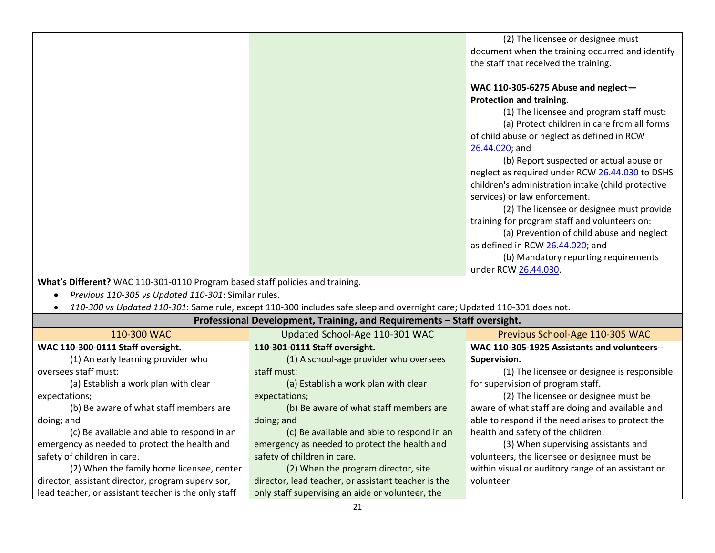|  | (2) The licensee or designee must                  |
|--|----------------------------------------------------|
|  | document when the training occurred and identify   |
|  | the staff that received the training.              |
|  |                                                    |
|  | WAC 110-305-6275 Abuse and neglect-                |
|  | Protection and training.                           |
|  | (1) The licensee and program staff must:           |
|  | (a) Protect children in care from all forms        |
|  | of child abuse or neglect as defined in RCW        |
|  | 26.44.020; and                                     |
|  | (b) Report suspected or actual abuse or            |
|  | neglect as required under RCW 26.44.030 to DSHS    |
|  | children's administration intake (child protective |
|  | services) or law enforcement.                      |
|  | (2) The licensee or designee must provide          |
|  | training for program staff and volunteers on:      |
|  | (a) Prevention of child abuse and neglect          |
|  | as defined in RCW 26.44.020; and                   |
|  | (b) Mandatory reporting requirements               |
|  | under RCW 26.44.030.                               |

**What's Different?** WAC 110-301-0110 Program based staff policies and training.

*Previous 110-305 vs Updated 110-301*: Similar rules.

*110-300 vs Updated 110-301*: Same rule, except 110-300 includes safe sleep and overnight care; Updated 110-301 does not.

| Professional Development, Training, and Requirements - Staff oversight. |                                                     |                                                    |
|-------------------------------------------------------------------------|-----------------------------------------------------|----------------------------------------------------|
| 110-300 WAC                                                             | Updated School-Age 110-301 WAC                      | Previous School-Age 110-305 WAC                    |
| WAC 110-300-0111 Staff oversight.                                       | 110-301-0111 Staff oversight.                       | WAC 110-305-1925 Assistants and volunteers--       |
| (1) An early learning provider who                                      | (1) A school-age provider who oversees              | Supervision.                                       |
| oversees staff must:                                                    | staff must:                                         | (1) The licensee or designee is responsible        |
| (a) Establish a work plan with clear                                    | (a) Establish a work plan with clear                | for supervision of program staff.                  |
| expectations;                                                           | expectations;                                       | (2) The licensee or designee must be               |
| (b) Be aware of what staff members are                                  | (b) Be aware of what staff members are              | aware of what staff are doing and available and    |
| doing; and                                                              | doing; and                                          | able to respond if the need arises to protect the  |
| (c) Be available and able to respond in an                              | (c) Be available and able to respond in an          | health and safety of the children.                 |
| emergency as needed to protect the health and                           | emergency as needed to protect the health and       | (3) When supervising assistants and                |
| safety of children in care.                                             | safety of children in care.                         | volunteers, the licensee or designee must be       |
| (2) When the family home licensee, center                               | (2) When the program director, site                 | within visual or auditory range of an assistant or |
| director, assistant director, program supervisor,                       | director, lead teacher, or assistant teacher is the | volunteer.                                         |
| lead teacher, or assistant teacher is the only staff                    | only staff supervising an aide or volunteer, the    |                                                    |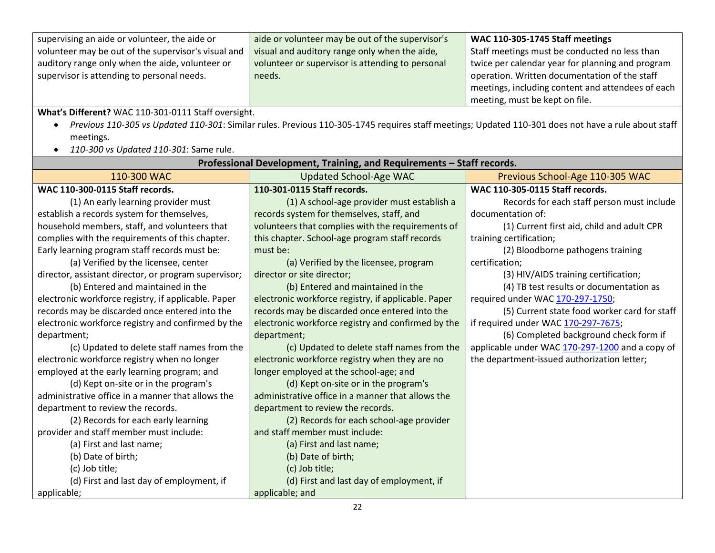| supervising an aide or volunteer, the aide or       | aide or volunteer may be out of the supervisor's | <b>WAC 110-305-1745 Staff meetings</b>                         |
|-----------------------------------------------------|--------------------------------------------------|----------------------------------------------------------------|
| volunteer may be out of the supervisor's visual and | visual and auditory range only when the aide,    | Staff meetings must be conducted no less than                  |
| auditory range only when the aide, volunteer or     | volunteer or supervisor is attending to personal | twice per calendar year for planning and program               |
| supervisor is attending to personal needs.          | needs.                                           | operation. Written documentation of the staff                  |
|                                                     |                                                  | <sup>1</sup> meetings, including content and attendees of each |
|                                                     |                                                  | meeting, must be kept on file.                                 |

**What's Different?** WAC 110-301-0111 Staff oversight.

 *Previous 110-305 vs Updated 110-301*: Similar rules. Previous 110-305-1745 requires staff meetings; Updated 110-301 does not have a rule about staff meetings.

*110-300 vs Updated 110-301*: Same rule.

| Professional Development, Training, and Requirements - Staff records. |                                                     |                                                 |
|-----------------------------------------------------------------------|-----------------------------------------------------|-------------------------------------------------|
| 110-300 WAC                                                           | <b>Updated School-Age WAC</b>                       | Previous School-Age 110-305 WAC                 |
| WAC 110-300-0115 Staff records.                                       | 110-301-0115 Staff records.                         | WAC 110-305-0115 Staff records.                 |
| (1) An early learning provider must                                   | (1) A school-age provider must establish a          | Records for each staff person must include      |
| establish a records system for themselves,                            | records system for themselves, staff, and           | documentation of:                               |
| household members, staff, and volunteers that                         | volunteers that complies with the requirements of   | (1) Current first aid, child and adult CPR      |
| complies with the requirements of this chapter.                       | this chapter. School-age program staff records      | training certification;                         |
| Early learning program staff records must be:                         | must be:                                            | (2) Bloodborne pathogens training               |
| (a) Verified by the licensee, center                                  | (a) Verified by the licensee, program               | certification;                                  |
| director, assistant director, or program supervisor;                  | director or site director;                          | (3) HIV/AIDS training certification;            |
| (b) Entered and maintained in the                                     | (b) Entered and maintained in the                   | (4) TB test results or documentation as         |
| electronic workforce registry, if applicable. Paper                   | electronic workforce registry, if applicable. Paper | required under WAC 170-297-1750;                |
| records may be discarded once entered into the                        | records may be discarded once entered into the      | (5) Current state food worker card for staff    |
| electronic workforce registry and confirmed by the                    | electronic workforce registry and confirmed by the  | if required under WAC 170-297-7675;             |
| department;                                                           | department;                                         | (6) Completed background check form if          |
| (c) Updated to delete staff names from the                            | (c) Updated to delete staff names from the          | applicable under WAC 170-297-1200 and a copy of |
| electronic workforce registry when no longer                          | electronic workforce registry when they are no      | the department-issued authorization letter;     |
| employed at the early learning program; and                           | longer employed at the school-age; and              |                                                 |
| (d) Kept on-site or in the program's                                  | (d) Kept on-site or in the program's                |                                                 |
| administrative office in a manner that allows the                     | administrative office in a manner that allows the   |                                                 |
| department to review the records.                                     | department to review the records.                   |                                                 |
| (2) Records for each early learning                                   | (2) Records for each school-age provider            |                                                 |
| provider and staff member must include:                               | and staff member must include:                      |                                                 |
| (a) First and last name;                                              | (a) First and last name;                            |                                                 |
| (b) Date of birth;                                                    | (b) Date of birth;                                  |                                                 |
| (c) Job title;                                                        | (c) Job title;                                      |                                                 |
| (d) First and last day of employment, if                              | (d) First and last day of employment, if            |                                                 |
| applicable;                                                           | applicable; and                                     |                                                 |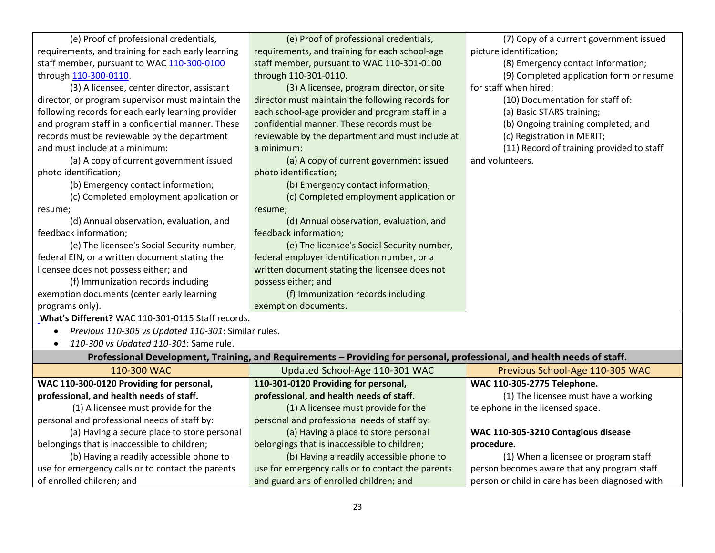| (e) Proof of professional credentials,              | (e) Proof of professional credentials,                                                                                  | (7) Copy of a current government issued         |
|-----------------------------------------------------|-------------------------------------------------------------------------------------------------------------------------|-------------------------------------------------|
| requirements, and training for each early learning  | requirements, and training for each school-age                                                                          | picture identification;                         |
| staff member, pursuant to WAC 110-300-0100          | staff member, pursuant to WAC 110-301-0100                                                                              | (8) Emergency contact information;              |
| through 110-300-0110.                               | through 110-301-0110.                                                                                                   | (9) Completed application form or resume        |
| (3) A licensee, center director, assistant          | (3) A licensee, program director, or site                                                                               | for staff when hired;                           |
| director, or program supervisor must maintain the   | director must maintain the following records for                                                                        | (10) Documentation for staff of:                |
| following records for each early learning provider  | each school-age provider and program staff in a                                                                         | (a) Basic STARS training;                       |
| and program staff in a confidential manner. These   | confidential manner. These records must be                                                                              | (b) Ongoing training completed; and             |
| records must be reviewable by the department        | reviewable by the department and must include at                                                                        | (c) Registration in MERIT;                      |
| and must include at a minimum:                      | a minimum:                                                                                                              | (11) Record of training provided to staff       |
| (a) A copy of current government issued             | (a) A copy of current government issued                                                                                 | and volunteers.                                 |
| photo identification;                               | photo identification;                                                                                                   |                                                 |
| (b) Emergency contact information;                  | (b) Emergency contact information;                                                                                      |                                                 |
| (c) Completed employment application or             | (c) Completed employment application or                                                                                 |                                                 |
| resume;                                             | resume;                                                                                                                 |                                                 |
| (d) Annual observation, evaluation, and             | (d) Annual observation, evaluation, and                                                                                 |                                                 |
| feedback information;                               | feedback information;                                                                                                   |                                                 |
| (e) The licensee's Social Security number,          | (e) The licensee's Social Security number,                                                                              |                                                 |
| federal EIN, or a written document stating the      | federal employer identification number, or a                                                                            |                                                 |
| licensee does not possess either; and               | written document stating the licensee does not                                                                          |                                                 |
| (f) Immunization records including                  | possess either; and                                                                                                     |                                                 |
| exemption documents (center early learning          | (f) Immunization records including                                                                                      |                                                 |
| programs only).                                     | exemption documents.                                                                                                    |                                                 |
| What's Different? WAC 110-301-0115 Staff records.   |                                                                                                                         |                                                 |
| Previous 110-305 vs Updated 110-301: Similar rules. |                                                                                                                         |                                                 |
| 110-300 vs Updated 110-301: Same rule.              |                                                                                                                         |                                                 |
|                                                     | Professional Development, Training, and Requirements - Providing for personal, professional, and health needs of staff. |                                                 |
| 110-300 WAC                                         | Updated School-Age 110-301 WAC                                                                                          | Previous School-Age 110-305 WAC                 |
| WAC 110-300-0120 Providing for personal,            | 110-301-0120 Providing for personal,                                                                                    | WAC 110-305-2775 Telephone.                     |
| professional, and health needs of staff.            | professional, and health needs of staff.                                                                                | (1) The licensee must have a working            |
| (1) A licensee must provide for the                 | (1) A licensee must provide for the                                                                                     | telephone in the licensed space.                |
| personal and professional needs of staff by:        | personal and professional needs of staff by:                                                                            |                                                 |
| (a) Having a secure place to store personal         | (a) Having a place to store personal                                                                                    | WAC 110-305-3210 Contagious disease             |
| belongings that is inaccessible to children;        | belongings that is inaccessible to children;                                                                            | procedure.                                      |
| (b) Having a readily accessible phone to            | (b) Having a readily accessible phone to                                                                                | (1) When a licensee or program staff            |
| use for emergency calls or to contact the parents   | use for emergency calls or to contact the parents                                                                       | person becomes aware that any program staff     |
| of enrolled children; and                           | and guardians of enrolled children; and                                                                                 | person or child in care has been diagnosed with |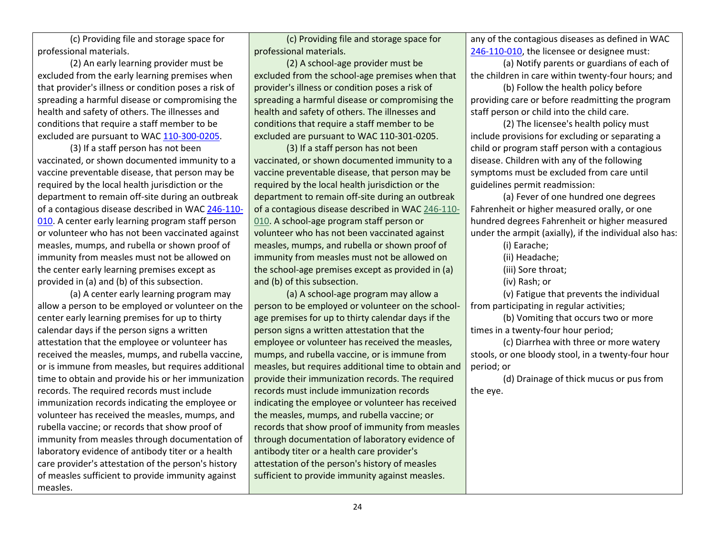(c) Providing file and storage space for professional materials.

(2) An early learning provider must be excluded from the early learning premises when that provider's illness or condition poses a risk of spreading a harmful disease or compromising the health and safety of others. The illnesses and conditions that require a staff member to be excluded are pursuant to WA[C 110-300-0205.](https://app.leg.wa.gov/wac/default.aspx?cite=110-300&full=true#110-300-0205)

(3) If a staff person has not been vaccinated, or shown documented immunity to a vaccine preventable disease, that person may be required by the local health jurisdiction or the department to remain off-site during an outbreak of a contagious disease described in WAC [246-110-](https://app.leg.wa.gov/wac/default.aspx?cite=246-110-010) [010.](https://app.leg.wa.gov/wac/default.aspx?cite=246-110-010) A center early learning program staff person or volunteer who has not been vaccinated against measles, mumps, and rubella or shown proof of immunity from measles must not be allowed on the center early learning premises except as provided in (a) and (b) of this subsection.

(a) A center early learning program may allow a person to be employed or volunteer on the center early learning premises for up to thirty calendar days if the person signs a written attestation that the employee or volunteer has received the measles, mumps, and rubella vaccine, or is immune from measles, but requires additional time to obtain and provide his or her immunization records. The required records must include immunization records indicating the employee or volunteer has received the measles, mumps, and rubella vaccine; or records that show proof of immunity from measles through documentation of laboratory evidence of antibody titer or a health care provider's attestation of the person's history of measles sufficient to provide immunity against measles.

(c) Providing file and storage space for professional materials.

(2) A school-age provider must be excluded from the school-age premises when that provider's illness or condition poses a risk of spreading a harmful disease or compromising the health and safety of others. The illnesses and conditions that require a staff member to be excluded are pursuant to WAC 110-301-0205.

(3) If a staff person has not been vaccinated, or shown documented immunity to a vaccine preventable disease, that person may be required by the local health jurisdiction or the department to remain off-site during an outbreak of a contagious disease described in WAC [246-110-](https://app.leg.wa.gov/wac/default.aspx?cite=246-110-010) [010.](https://app.leg.wa.gov/wac/default.aspx?cite=246-110-010) A school-age program staff person or volunteer who has not been vaccinated against measles, mumps, and rubella or shown proof of immunity from measles must not be allowed on the school-age premises except as provided in (a) and (b) of this subsection.

(a) A school-age program may allow a person to be employed or volunteer on the schoolage premises for up to thirty calendar days if the person signs a written attestation that the employee or volunteer has received the measles, mumps, and rubella vaccine, or is immune from measles, but requires additional time to obtain and provide their immunization records. The required records must include immunization records indicating the employee or volunteer has received the measles, mumps, and rubella vaccine; or records that show proof of immunity from measles through documentation of laboratory evidence of antibody titer or a health care provider's attestation of the person's history of measles sufficient to provide immunity against measles.

any of the contagious diseases as defined in WAC [246-110-010,](https://app.leg.wa.gov/wac/default.aspx?cite=246-110-010) the licensee or designee must:

(a) Notify parents or guardians of each of the children in care within twenty-four hours; and

(b) Follow the health policy before providing care or before readmitting the program staff person or child into the child care.

(2) The licensee's health policy must include provisions for excluding or separating a child or program staff person with a contagious disease. Children with any of the following symptoms must be excluded from care until guidelines permit readmission:

(a) Fever of one hundred one degrees Fahrenheit or higher measured orally, or one hundred degrees Fahrenheit or higher measured under the armpit (axially), if the individual also has:

(i) Earache; (ii) Headache; (iii) Sore throat; (iv) Rash; or (v) Fatigue that prevents the individual from participating in regular activities; (b) Vomiting that occurs two or more

times in a twenty-four hour period;

(c) Diarrhea with three or more watery stools, or one bloody stool, in a twenty-four hour period; or

(d) Drainage of thick mucus or pus from the eye.